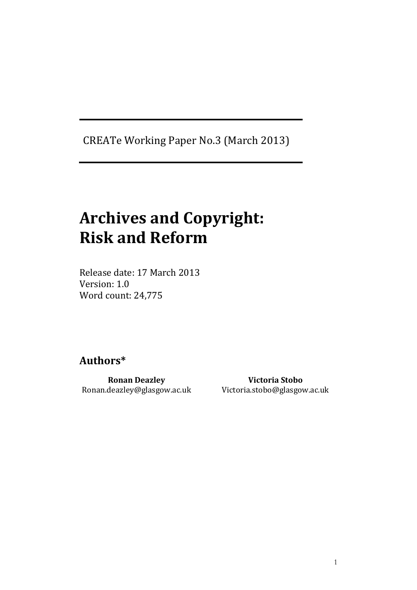CREATe Working Paper No.3 (March 2013)

# **Archives and Copyright: Risk and Reform**

Release date: 17 March 2013 Version: 1.0 Word count: 24,775

# **Authors\***

**Ronan Deazley** Ronan.deazley@glasgow.ac.uk

**Victoria Stobo** Victoria.stobo@glasgow.ac.uk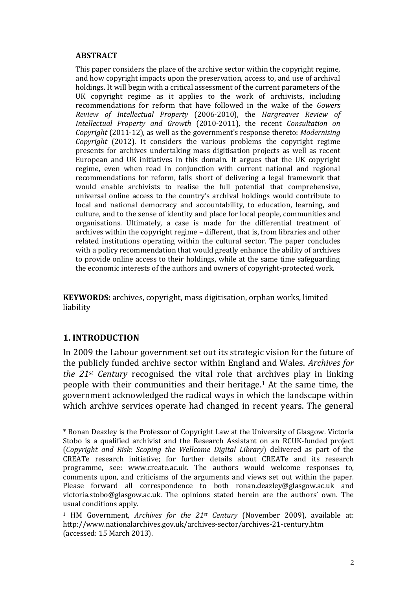#### **ABSTRACT**

This paper considers the place of the archive sector within the copyright regime, and how copyright impacts upon the preservation, access to, and use of archival holdings. It will begin with a critical assessment of the current parameters of the UK copyright regime as it applies to the work of archivists, including recommendations for reform that have followed in the wake of the *Gowers Review of Intellectual Property* (2006-2010), the *Hargreaves Review of Intellectual Property and Growth* (2010-2011), the recent *Consultation on Copyright* (2011-12), as well as the government's response thereto: *Modernising Copyright* (2012). It considers the various problems the copyright regime presents for archives undertaking mass digitisation projects as well as recent European and UK initiatives in this domain. It argues that the UK copyright regime, even when read in conjunction with current national and regional recommendations for reform, falls short of delivering a legal framework that would enable archivists to realise the full potential that comprehensive, universal online access to the country's archival holdings would contribute to local and national democracy and accountability, to education, learning, and culture, and to the sense of identity and place for local people, communities and organisations. Ultimately, a case is made for the differential treatment of archives within the copyright regime – different, that is, from libraries and other related institutions operating within the cultural sector. The paper concludes with a policy recommendation that would greatly enhance the ability of archives to provide online access to their holdings, while at the same time safeguarding the economic interests of the authors and owners of copyright-protected work.

**KEYWORDS:** archives, copyright, mass digitisation, orphan works, limited liability

#### **1. INTRODUCTION**

1

In 2009 the Labour government set out its strategic vision for the future of the publicly funded archive sector within England and Wales. *Archives for the 21st Century* recognised the vital role that archives play in linking people with their communities and their heritage.<sup>1</sup> At the same time, the government acknowledged the radical ways in which the landscape within which archive services operate had changed in recent years. The general

<sup>\*</sup> Ronan Deazley is the Professor of Copyright Law at the University of Glasgow. Victoria Stobo is a qualified archivist and the Research Assistant on an RCUK-funded project (*Copyright and Risk: Scoping the Wellcome Digital Library*) delivered as part of the CREATe research initiative; for further details about CREATe and its research programme, see: www.create.ac.uk. The authors would welcome responses to, comments upon, and criticisms of the arguments and views set out within the paper. Please forward all correspondence to both ronan.deazley@glasgow.ac.uk and victoria.stobo@glasgow.ac.uk. The opinions stated herein are the authors' own. The usual conditions apply.

<sup>1</sup> HM Government, *Archives for the 21st Century* (November 2009), available at: http://www.nationalarchives.gov.uk/archives-sector/archives-21-century.htm (accessed: 15 March 2013).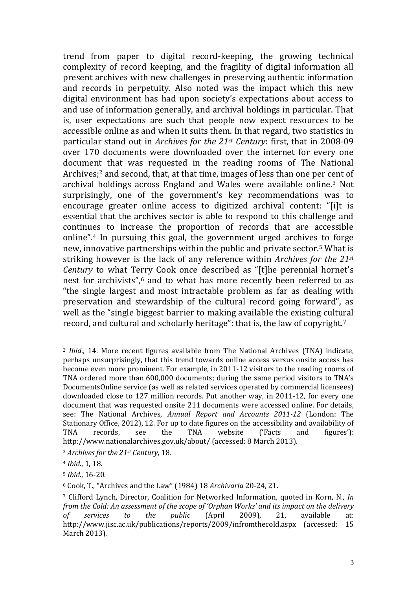trend from paper to digital record-keeping, the growing technical complexity of record keeping, and the fragility of digital information all present archives with new challenges in preserving authentic information and records in perpetuity. Also noted was the impact which this new digital environment has had upon society's expectations about access to and use of information generally, and archival holdings in particular. That is, user expectations are such that people now expect resources to be accessible online as and when it suits them. In that regard, two statistics in particular stand out in *Archives for the 21st Century*: first, that in 2008-09 over 170 documents were downloaded over the internet for every one document that was requested in the reading rooms of The National Archives;<sup>2</sup> and second, that, at that time, images of less than one per cent of archival holdings across England and Wales were available online.<sup>3</sup> Not surprisingly, one of the government's key recommendations was to encourage greater online access to digitized archival content: "[i]t is essential that the archives sector is able to respond to this challenge and continues to increase the proportion of records that are accessible online".<sup>4</sup> In pursuing this goal, the government urged archives to forge new, innovative partnerships within the public and private sector.<sup>5</sup> What is striking however is the lack of any reference within *Archives for the 21st Century* to what Terry Cook once described as "[t]he perennial hornet's nest for archivists".<sup>6</sup> and to what has more recently been referred to as "the single largest and most intractable problem as far as dealing with preservation and stewardship of the cultural record going forward", as well as the "single biggest barrier to making available the existing cultural record, and cultural and scholarly heritage": that is, the law of copyright.<sup>7</sup>

<sup>2</sup> *Ibid*., 14. More recent figures available from The National Archives (TNA) indicate, perhaps unsurprisingly, that this trend towards online access versus onsite access has become even more prominent. For example, in 2011-12 visitors to the reading rooms of TNA ordered more than 600,000 documents; during the same period visitors to TNA's DocumentsOnline service (as well as related services operated by commercial licensees) downloaded close to 127 million records. Put another way, in 2011-12, for every one document that was requested onsite 211 documents were accessed online. For details, see: The National Archives, *Annual Report and Accounts 2011-12* (London: The Stationary Office, 2012), 12. For up to date figures on the accessibility and availability of TNA records, see the TNA website ('Facts and figures'): http://www.nationalarchives.gov.uk/about/ (accessed: 8 March 2013).

<sup>3</sup> *Archives for the 21st Century*, 18.

<sup>4</sup> *Ibid*., 1, 18.

<sup>5</sup> *Ibid*., 16-20.

<sup>6</sup> Cook, T., "Archives and the Law" (1984) 18 *Archivaria* 20-24, 21.

<sup>7</sup> Clifford Lynch, Director, Coalition for Networked Information, quoted in Korn, N., *In from the Cold: An assessment of the scope of 'Orphan Works' and its impact on the delivery of services to the public* (April 2009), 21, available at: http://www.jisc.ac.uk/publications/reports/2009/infromthecold.aspx (accessed: 15 March 2013).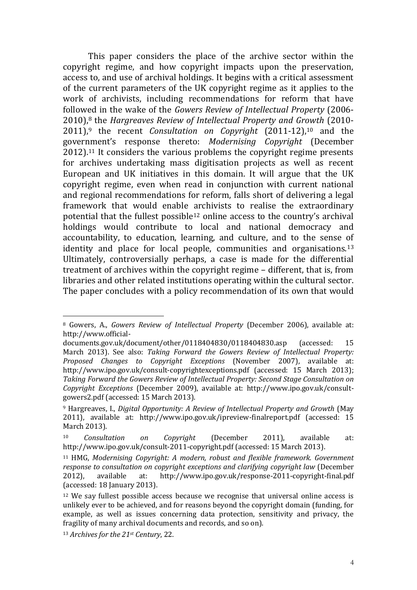This paper considers the place of the archive sector within the copyright regime, and how copyright impacts upon the preservation, access to, and use of archival holdings. It begins with a critical assessment of the current parameters of the UK copyright regime as it applies to the work of archivists, including recommendations for reform that have followed in the wake of the *Gowers Review of Intellectual Property* (2006- 2010),<sup>8</sup> the *Hargreaves Review of Intellectual Property and Growth* (2010- 2011), <sup>9</sup> the recent *Consultation on Copyright* (2011-12), <sup>10</sup> and the government's response thereto: *Modernising Copyright* (December 2012).<sup>11</sup> It considers the various problems the copyright regime presents for archives undertaking mass digitisation projects as well as recent European and UK initiatives in this domain. It will argue that the UK copyright regime, even when read in conjunction with current national and regional recommendations for reform, falls short of delivering a legal framework that would enable archivists to realise the extraordinary potential that the fullest possible<sup>12</sup> online access to the country's archival holdings would contribute to local and national democracy and accountability, to education, learning, and culture, and to the sense of identity and place for local people, communities and organisations.<sup>13</sup> Ultimately, controversially perhaps, a case is made for the differential treatment of archives within the copyright regime – different, that is, from libraries and other related institutions operating within the cultural sector. The paper concludes with a policy recommendation of its own that would

<sup>8</sup> Gowers, A., *Gowers Review of Intellectual Property* (December 2006), available at: http://www.official-

documents.gov.uk/document/other/0118404830/0118404830.asp (accessed: 15 March 2013). See also: *Taking Forward the Gowers Review of Intellectual Property: Proposed Changes to Copyright Exceptions* (November 2007), available at: http://www.ipo.gov.uk/consult-copyrightexceptions.pdf (accessed: 15 March 2013); *Taking Forward the Gowers Review of Intellectual Property: Second Stage Consultation on Copyright Exceptions* (December 2009), available at: http://www.ipo.gov.uk/consultgowers2.pdf (accessed: 15 March 2013).

<sup>9</sup> Hargreaves, I., *Digital Opportunity: A Review of Intellectual Property and Growth* (May 2011), available at: http://www.ipo.gov.uk/ipreview-finalreport.pdf (accessed: 15 March 2013).

<sup>10</sup> *Consultation on Copyright* (December 2011), available at: http://www.ipo.gov.uk/consult-2011-copyright.pdf (accessed: 15 March 2013).

<sup>11</sup> HMG, *Modernising Copyright: A modern, robust and flexible framework. Government response to consultation on copyright exceptions and clarifying copyright law* (December 2012), available at: http://www.ipo.gov.uk/response-2011-copyright-final.pdf (accessed: 18 January 2013).

<sup>12</sup> We say fullest possible access because we recognise that universal online access is unlikely ever to be achieved, and for reasons beyond the copyright domain (funding, for example, as well as issues concerning data protection, sensitivity and privacy, the fragility of many archival documents and records, and so on).

<sup>13</sup> *Archives for the 21st Century*, 22.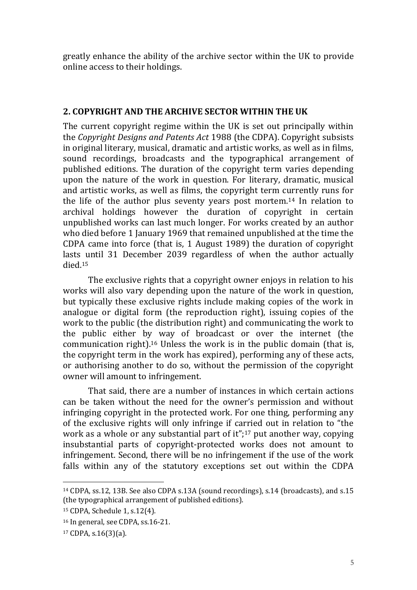greatly enhance the ability of the archive sector within the UK to provide online access to their holdings.

#### **2. COPYRIGHT AND THE ARCHIVE SECTOR WITHIN THE UK**

The current copyright regime within the UK is set out principally within the *Copyright Designs and Patents Act* 1988 (the CDPA). Copyright subsists in original literary, musical, dramatic and artistic works, as well as in films, sound recordings, broadcasts and the typographical arrangement of published editions. The duration of the copyright term varies depending upon the nature of the work in question. For literary, dramatic, musical and artistic works, as well as films, the copyright term currently runs for the life of the author plus seventy years post mortem.<sup>14</sup> In relation to archival holdings however the duration of copyright in certain unpublished works can last much longer. For works created by an author who died before 1 January 1969 that remained unpublished at the time the CDPA came into force (that is, 1 August 1989) the duration of copyright lasts until 31 December 2039 regardless of when the author actually died.<sup>15</sup>

The exclusive rights that a copyright owner enjoys in relation to his works will also vary depending upon the nature of the work in question, but typically these exclusive rights include making copies of the work in analogue or digital form (the reproduction right), issuing copies of the work to the public (the distribution right) and communicating the work to the public either by way of broadcast or over the internet (the communication right).<sup>16</sup> Unless the work is in the public domain (that is, the copyright term in the work has expired), performing any of these acts, or authorising another to do so, without the permission of the copyright owner will amount to infringement.

That said, there are a number of instances in which certain actions can be taken without the need for the owner's permission and without infringing copyright in the protected work. For one thing, performing any of the exclusive rights will only infringe if carried out in relation to "the work as a whole or any substantial part of it";<sup>17</sup> put another way, copying insubstantial parts of copyright-protected works does not amount to infringement. Second, there will be no infringement if the use of the work falls within any of the statutory exceptions set out within the CDPA

<sup>14</sup> CDPA, ss.12, 13B. See also CDPA s.13A (sound recordings), s.14 (broadcasts), and s.15 (the typographical arrangement of published editions).

<sup>15</sup> CDPA, Schedule 1, s.12(4).

<sup>16</sup> In general, see CDPA, ss.16-21.

<sup>17</sup> CDPA, s.16(3)(a).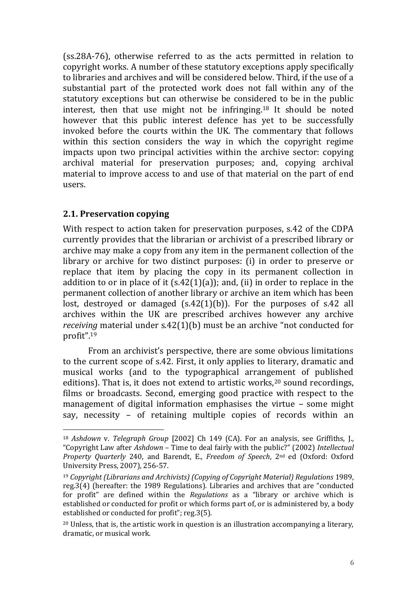(ss.28A-76), otherwise referred to as the acts permitted in relation to copyright works. A number of these statutory exceptions apply specifically to libraries and archives and will be considered below. Third, if the use of a substantial part of the protected work does not fall within any of the statutory exceptions but can otherwise be considered to be in the public interest, then that use might not be infringing.<sup>18</sup> It should be noted however that this public interest defence has yet to be successfully invoked before the courts within the UK. The commentary that follows within this section considers the way in which the copyright regime impacts upon two principal activities within the archive sector: copying archival material for preservation purposes; and, copying archival material to improve access to and use of that material on the part of end users.

#### **2.1. Preservation copying**

<u>.</u>

With respect to action taken for preservation purposes, s.42 of the CDPA currently provides that the librarian or archivist of a prescribed library or archive may make a copy from any item in the permanent collection of the library or archive for two distinct purposes: (i) in order to preserve or replace that item by placing the copy in its permanent collection in addition to or in place of it  $(s.42(1)(a))$ ; and, (ii) in order to replace in the permanent collection of another library or archive an item which has been lost, destroyed or damaged (s.42(1)(b)). For the purposes of s.42 all archives within the UK are prescribed archives however any archive *receiving* material under s.42(1)(b) must be an archive "not conducted for profit".<sup>19</sup>

From an archivist's perspective, there are some obvious limitations to the current scope of s.42. First, it only applies to literary, dramatic and musical works (and to the typographical arrangement of published editions). That is, it does not extend to artistic works, $20$  sound recordings, films or broadcasts. Second, emerging good practice with respect to the management of digital information emphasises the virtue – some might say, necessity – of retaining multiple copies of records within an

<sup>18</sup> *Ashdown* v. *Telegraph Group* [2002] Ch 149 (CA). For an analysis, see Griffiths, J., "Copyright Law after *Ashdown* – Time to deal fairly with the public?" (2002) *Intellectual Property Quarterly* 240, and Barendt, E., *Freedom of Speech*, 2nd ed (Oxford: Oxford University Press, 2007), 256-57.

<sup>19</sup> *Copyright (Librarians and Archivists) (Copying of Copyright Material) Regulations* 1989, reg.3(4) (hereafter: the 1989 Regulations). Libraries and archives that are "conducted for profit" are defined within the *Regulations* as a "library or archive which is established or conducted for profit or which forms part of, or is administered by, a body established or conducted for profit"; reg.3(5).

<sup>20</sup> Unless, that is, the artistic work in question is an illustration accompanying a literary, dramatic, or musical work.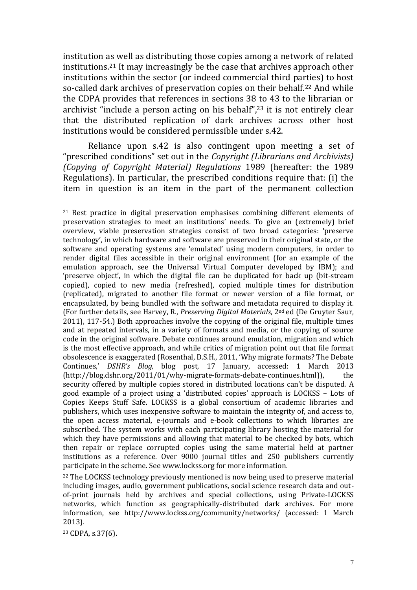institution as well as distributing those copies among a network of related institutions.<sup>21</sup> It may increasingly be the case that archives approach other institutions within the sector (or indeed commercial third parties) to host so-called dark archives of preservation copies on their behalf.<sup>22</sup> And while the CDPA provides that references in sections 38 to 43 to the librarian or archivist "include a person acting on his behalf",<sup>23</sup> it is not entirely clear that the distributed replication of dark archives across other host institutions would be considered permissible under s.42.

Reliance upon s.42 is also contingent upon meeting a set of "prescribed conditions" set out in the *Copyright (Librarians and Archivists) (Copying of Copyright Material) Regulations* 1989 (hereafter: the 1989 Regulations). In particular, the prescribed conditions require that: (i) the item in question is an item in the part of the permanent collection

<sup>23</sup> CDPA, s.37(6).

<sup>21</sup> Best practice in digital preservation emphasises combining different elements of preservation strategies to meet an institutions' needs. To give an (extremely) brief overview, viable preservation strategies consist of two broad categories: 'preserve technology', in which hardware and software are preserved in their original state, or the software and operating systems are 'emulated' using modern computers, in order to render digital files accessible in their original environment (for an example of the emulation approach, see the Universal Virtual Computer developed by IBM); and 'preserve object', in which the digital file can be duplicated for back up (bit-stream copied), copied to new media (refreshed), copied multiple times for distribution (replicated), migrated to another file format or newer version of a file format, or encapsulated, by being bundled with the software and metadata required to display it. (For further details, see Harvey, R., *Preserving Digital Materials*, 2nd ed (De Gruyter Saur, 2011), 117-54.) Both approaches involve the copying of the original file, multiple times and at repeated intervals, in a variety of formats and media, or the copying of source code in the original software. Debate continues around emulation, migration and which is the most effective approach, and while critics of migration point out that file format obsolescence is exaggerated (Rosenthal, D.S.H., 2011, 'Why migrate formats? The Debate Continues,' *DSHR's Blog,* blog post, 17 January, accessed: 1 March 2013 (http://blog.dshr.org/2011/01/why-migrate-formats-debate-continues.html)), the security offered by multiple copies stored in distributed locations can't be disputed. A good example of a project using a 'distributed copies' approach is LOCKSS – Lots of Copies Keeps Stuff Safe. LOCKSS is a global consortium of academic libraries and publishers, which uses inexpensive software to maintain the integrity of, and access to, the open access material, e-journals and e-book collections to which libraries are subscribed. The system works with each participating library hosting the material for which they have permissions and allowing that material to be checked by bots, which then repair or replace corrupted copies using the same material held at partner institutions as a reference. Over 9000 journal titles and 250 publishers currently participate in the scheme. See www.lockss.org for more information.

<sup>&</sup>lt;sup>22</sup> The LOCKSS technology previously mentioned is now being used to preserve material including images, audio, government publications, social science research data and outof-print journals held by archives and special collections, using Private-LOCKSS networks, which function as geographically-distributed dark archives. For more information, see http://www.lockss.org/community/networks/ (accessed: 1 March 2013).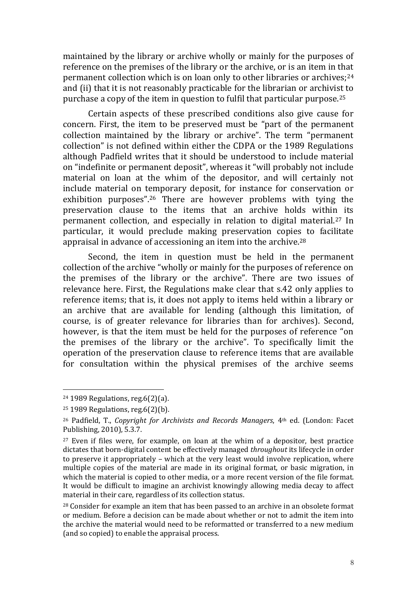maintained by the library or archive wholly or mainly for the purposes of reference on the premises of the library or the archive, or is an item in that permanent collection which is on loan only to other libraries or archives;<sup>24</sup> and (ii) that it is not reasonably practicable for the librarian or archivist to purchase a copy of the item in question to fulfil that particular purpose.<sup>25</sup>

Certain aspects of these prescribed conditions also give cause for concern. First, the item to be preserved must be "part of the permanent collection maintained by the library or archive". The term "permanent collection" is not defined within either the CDPA or the 1989 Regulations although Padfield writes that it should be understood to include material on "indefinite or permanent deposit", whereas it "will probably not include material on loan at the whim of the depositor, and will certainly not include material on temporary deposit, for instance for conservation or exhibition purposes".<sup>26</sup> There are however problems with tying the preservation clause to the items that an archive holds within its permanent collection, and especially in relation to digital material.<sup>27</sup> In particular, it would preclude making preservation copies to facilitate appraisal in advance of accessioning an item into the archive.<sup>28</sup>

Second, the item in question must be held in the permanent collection of the archive "wholly or mainly for the purposes of reference on the premises of the library or the archive". There are two issues of relevance here. First, the Regulations make clear that s.42 only applies to reference items; that is, it does not apply to items held within a library or an archive that are available for lending (although this limitation, of course, is of greater relevance for libraries than for archives). Second, however, is that the item must be held for the purposes of reference "on the premises of the library or the archive". To specifically limit the operation of the preservation clause to reference items that are available for consultation within the physical premises of the archive seems

<sup>24</sup> 1989 Regulations, reg.6(2)(a).

<sup>25</sup> 1989 Regulations, reg.6(2)(b).

<sup>26</sup> Padfield, T., *Copyright for Archivists and Records Managers*, 4th ed. (London: Facet Publishing, 2010), 5.3.7.

<sup>27</sup> Even if files were, for example, on loan at the whim of a depositor, best practice dictates that born-digital content be effectively managed *throughout* its lifecycle in order to preserve it appropriately – which at the very least would involve replication, where multiple copies of the material are made in its original format, or basic migration, in which the material is copied to other media, or a more recent version of the file format. It would be difficult to imagine an archivist knowingly allowing media decay to affect material in their care, regardless of its collection status.

<sup>28</sup> Consider for example an item that has been passed to an archive in an obsolete format or medium. Before a decision can be made about whether or not to admit the item into the archive the material would need to be reformatted or transferred to a new medium (and so copied) to enable the appraisal process.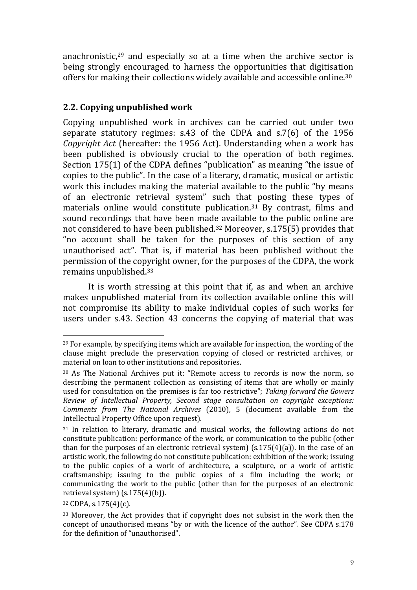anachronistic, $29$  and especially so at a time when the archive sector is being strongly encouraged to harness the opportunities that digitisation offers for making their collections widely available and accessible online.<sup>30</sup>

## **2.2. Copying unpublished work**

Copying unpublished work in archives can be carried out under two separate statutory regimes: s.43 of the CDPA and s.7(6) of the 1956 *Copyright Act* (hereafter: the 1956 Act). Understanding when a work has been published is obviously crucial to the operation of both regimes. Section 175(1) of the CDPA defines "publication" as meaning "the issue of copies to the public". In the case of a literary, dramatic, musical or artistic work this includes making the material available to the public "by means of an electronic retrieval system" such that posting these types of materials online would constitute publication.<sup>31</sup> By contrast, films and sound recordings that have been made available to the public online are not considered to have been published.<sup>32</sup> Moreover, s.175(5) provides that "no account shall be taken for the purposes of this section of any unauthorised act". That is, if material has been published without the permission of the copyright owner, for the purposes of the CDPA, the work remains unpublished.<sup>33</sup>

It is worth stressing at this point that if, as and when an archive makes unpublished material from its collection available online this will not compromise its ability to make individual copies of such works for users under s.43. Section 43 concerns the copying of material that was

<sup>29</sup> For example, by specifying items which are available for inspection, the wording of the clause might preclude the preservation copying of closed or restricted archives, or material on loan to other institutions and repositories.

<sup>30</sup> As The National Archives put it: "Remote access to records is now the norm, so describing the permanent collection as consisting of items that are wholly or mainly used for consultation on the premises is far too restrictive"; *Taking forward the Gowers Review of Intellectual Property, Second stage consultation on copyright exceptions: Comments from The National Archives* (2010), 5 (document available from the Intellectual Property Office upon request).

<sup>&</sup>lt;sup>31</sup> In relation to literary, dramatic and musical works, the following actions do not constitute publication: performance of the work, or communication to the public (other than for the purposes of an electronic retrieval system)  $(s.175(4)(a))$ . In the case of an artistic work, the following do not constitute publication: exhibition of the work; issuing to the public copies of a work of architecture, a sculpture, or a work of artistic craftsmanship; issuing to the public copies of a film including the work; or communicating the work to the public (other than for the purposes of an electronic retrieval system) (s.175(4)(b)).

<sup>32</sup> CDPA, s.175(4)(c).

<sup>33</sup> Moreover, the Act provides that if copyright does not subsist in the work then the concept of unauthorised means "by or with the licence of the author". See CDPA s.178 for the definition of "unauthorised".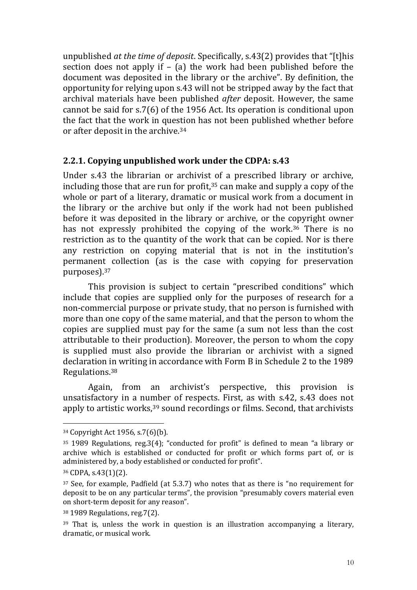unpublished *at the time of deposit*. Specifically, s.43(2) provides that "[t]his section does not apply if  $-$  (a) the work had been published before the document was deposited in the library or the archive". By definition, the opportunity for relying upon s.43 will not be stripped away by the fact that archival materials have been published *after* deposit. However, the same cannot be said for s.7(6) of the 1956 Act. Its operation is conditional upon the fact that the work in question has not been published whether before or after deposit in the archive.<sup>34</sup>

#### **2.2.1. Copying unpublished work under the CDPA: s.43**

Under s.43 the librarian or archivist of a prescribed library or archive, including those that are run for profit, $35$  can make and supply a copy of the whole or part of a literary, dramatic or musical work from a document in the library or the archive but only if the work had not been published before it was deposited in the library or archive, or the copyright owner has not expressly prohibited the copying of the work.<sup>36</sup> There is no restriction as to the quantity of the work that can be copied. Nor is there any restriction on copying material that is not in the institution's permanent collection (as is the case with copying for preservation purposes).<sup>37</sup>

This provision is subject to certain "prescribed conditions" which include that copies are supplied only for the purposes of research for a non-commercial purpose or private study, that no person is furnished with more than one copy of the same material, and that the person to whom the copies are supplied must pay for the same (a sum not less than the cost attributable to their production). Moreover, the person to whom the copy is supplied must also provide the librarian or archivist with a signed declaration in writing in accordance with Form B in Schedule 2 to the 1989 Regulations.<sup>38</sup>

Again, from an archivist's perspective, this provision is unsatisfactory in a number of respects. First, as with s.42, s.43 does not apply to artistic works,<sup>39</sup> sound recordings or films. Second, that archivists

<u>.</u>

<sup>34</sup> Copyright Act 1956, s.7(6)(b).

<sup>35</sup> 1989 Regulations, reg.3(4); "conducted for profit" is defined to mean "a library or archive which is established or conducted for profit or which forms part of, or is administered by, a body established or conducted for profit".

<sup>36</sup> CDPA, s.43(1)(2).

<sup>37</sup> See, for example, Padfield (at 5.3.7) who notes that as there is "no requirement for deposit to be on any particular terms", the provision "presumably covers material even on short-term deposit for any reason".

<sup>38</sup> 1989 Regulations, reg.7(2).

<sup>39</sup> That is, unless the work in question is an illustration accompanying a literary, dramatic, or musical work.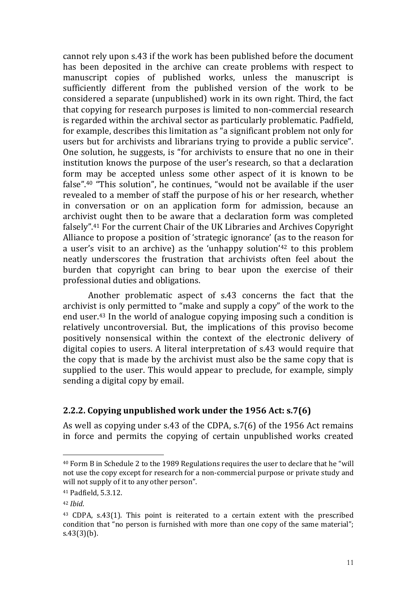cannot rely upon s.43 if the work has been published before the document has been deposited in the archive can create problems with respect to manuscript copies of published works, unless the manuscript is sufficiently different from the published version of the work to be considered a separate (unpublished) work in its own right. Third, the fact that copying for research purposes is limited to non-commercial research is regarded within the archival sector as particularly problematic. Padfield, for example, describes this limitation as "a significant problem not only for users but for archivists and librarians trying to provide a public service". One solution, he suggests, is "for archivists to ensure that no one in their institution knows the purpose of the user's research, so that a declaration form may be accepted unless some other aspect of it is known to be false".<sup>40</sup> "This solution", he continues, "would not be available if the user revealed to a member of staff the purpose of his or her research, whether in conversation or on an application form for admission, because an archivist ought then to be aware that a declaration form was completed falsely".<sup>41</sup> For the current Chair of the UK Libraries and Archives Copyright Alliance to propose a position of 'strategic ignorance' (as to the reason for a user's visit to an archive) as the 'unhappy solution'<sup>42</sup> to this problem neatly underscores the frustration that archivists often feel about the burden that copyright can bring to bear upon the exercise of their professional duties and obligations.

Another problematic aspect of s.43 concerns the fact that the archivist is only permitted to "make and supply a copy" of the work to the end user.<sup>43</sup> In the world of analogue copying imposing such a condition is relatively uncontroversial. But, the implications of this proviso become positively nonsensical within the context of the electronic delivery of digital copies to users. A literal interpretation of s.43 would require that the copy that is made by the archivist must also be the same copy that is supplied to the user. This would appear to preclude, for example, simply sending a digital copy by email.

#### **2.2.2. Copying unpublished work under the 1956 Act: s.7(6)**

As well as copying under s.43 of the CDPA, s.7(6) of the 1956 Act remains in force and permits the copying of certain unpublished works created

<u>.</u>

<sup>40</sup> Form B in Schedule 2 to the 1989 Regulations requires the user to declare that he "will not use the copy except for research for a non-commercial purpose or private study and will not supply of it to any other person".

<sup>41</sup> Padfield, 5.3.12.

<sup>42</sup> *Ibid*.

<sup>43</sup> CDPA, s.43(1). This point is reiterated to a certain extent with the prescribed condition that "no person is furnished with more than one copy of the same material"; s.43(3)(b).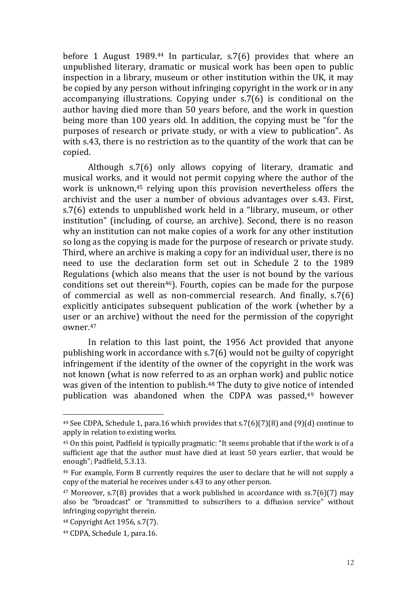before 1 August 1989.<sup>44</sup> In particular, s.7(6) provides that where an unpublished literary, dramatic or musical work has been open to public inspection in a library, museum or other institution within the UK, it may be copied by any person without infringing copyright in the work or in any accompanying illustrations. Copying under s.7(6) is conditional on the author having died more than 50 years before, and the work in question being more than 100 years old. In addition, the copying must be "for the purposes of research or private study, or with a view to publication". As with s.43, there is no restriction as to the quantity of the work that can be copied.

Although s.7(6) only allows copying of literary, dramatic and musical works, and it would not permit copying where the author of the work is unknown,<sup>45</sup> relying upon this provision nevertheless offers the archivist and the user a number of obvious advantages over s.43. First, s.7(6) extends to unpublished work held in a "library, museum, or other institution" (including, of course, an archive). Second, there is no reason why an institution can not make copies of a work for any other institution so long as the copying is made for the purpose of research or private study. Third, where an archive is making a copy for an individual user, there is no need to use the declaration form set out in Schedule 2 to the 1989 Regulations (which also means that the user is not bound by the various conditions set out therein<sup>46</sup>). Fourth, copies can be made for the purpose of commercial as well as non-commercial research. And finally, s.7(6) explicitly anticipates subsequent publication of the work (whether by a user or an archive) without the need for the permission of the copyright owner.<sup>47</sup>

In relation to this last point, the 1956 Act provided that anyone publishing work in accordance with s.7(6) would not be guilty of copyright infringement if the identity of the owner of the copyright in the work was not known (what is now referred to as an orphan work) and public notice was given of the intention to publish.<sup>48</sup> The duty to give notice of intended publication was abandoned when the CDPA was passed,<sup>49</sup> however

<sup>44</sup> See CDPA, Schedule 1, para.16 which provides that s.7(6)(7)(8) and (9)(d) continue to apply in relation to existing works.

<sup>45</sup> On this point, Padfield is typically pragmatic: "It seems probable that if the work is of a sufficient age that the author must have died at least 50 years earlier, that would be enough"; Padfield, 5.3.13.

<sup>46</sup> For example, Form B currently requires the user to declare that he will not supply a copy of the material he receives under s.43 to any other person.

<sup>47</sup> Moreover, s.7(8) provides that a work published in accordance with ss.7(6)(7) may also be "broadcast" or "transmitted to subscribers to a diffusion service" without infringing copyright therein.

<sup>48</sup> Copyright Act 1956, s.7(7).

<sup>49</sup> CDPA, Schedule 1, para.16.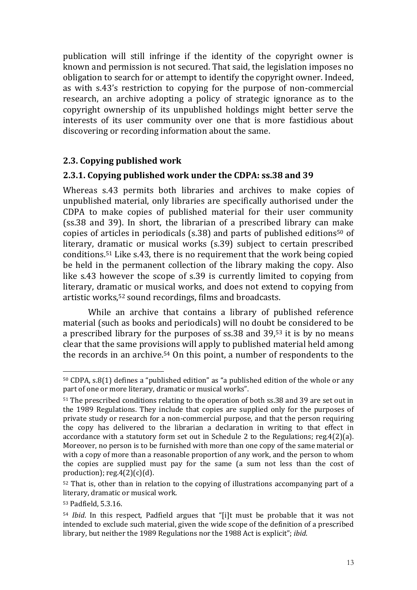publication will still infringe if the identity of the copyright owner is known and permission is not secured. That said, the legislation imposes no obligation to search for or attempt to identify the copyright owner. Indeed, as with s.43's restriction to copying for the purpose of non-commercial research, an archive adopting a policy of strategic ignorance as to the copyright ownership of its unpublished holdings might better serve the interests of its user community over one that is more fastidious about discovering or recording information about the same.

#### **2.3. Copying published work**

#### **2.3.1. Copying published work under the CDPA: ss.38 and 39**

Whereas s.43 permits both libraries and archives to make copies of unpublished material, only libraries are specifically authorised under the CDPA to make copies of published material for their user community (ss.38 and 39). In short, the librarian of a prescribed library can make copies of articles in periodicals (s.38) and parts of published editions<sup>50</sup> of literary, dramatic or musical works (s.39) subject to certain prescribed conditions.<sup>51</sup> Like s.43, there is no requirement that the work being copied be held in the permanent collection of the library making the copy. Also like s.43 however the scope of s.39 is currently limited to copying from literary, dramatic or musical works, and does not extend to copying from artistic works,<sup>52</sup> sound recordings, films and broadcasts.

While an archive that contains a library of published reference material (such as books and periodicals) will no doubt be considered to be a prescribed library for the purposes of ss.38 and 39,<sup>53</sup> it is by no means clear that the same provisions will apply to published material held among the records in an archive.<sup>54</sup> On this point, a number of respondents to the

<sup>50</sup> CDPA, s.8(1) defines a "published edition" as "a published edition of the whole or any part of one or more literary, dramatic or musical works".

<sup>&</sup>lt;sup>51</sup> The prescribed conditions relating to the operation of both ss.38 and 39 are set out in the 1989 Regulations. They include that copies are supplied only for the purposes of private study or research for a non-commercial purpose, and that the person requiring the copy has delivered to the librarian a declaration in writing to that effect in accordance with a statutory form set out in Schedule 2 to the Regulations; reg.4(2)(a). Moreover, no person is to be furnished with more than one copy of the same material or with a copy of more than a reasonable proportion of any work, and the person to whom the copies are supplied must pay for the same (a sum not less than the cost of production);  $reg.4(2)(c)(d)$ .

<sup>52</sup> That is, other than in relation to the copying of illustrations accompanying part of a literary, dramatic or musical work.

<sup>53</sup> Padfield, 5.3.16.

<sup>54</sup> *Ibid*. In this respect, Padfield argues that "[i]t must be probable that it was not intended to exclude such material, given the wide scope of the definition of a prescribed library, but neither the 1989 Regulations nor the 1988 Act is explicit"; *ibid*.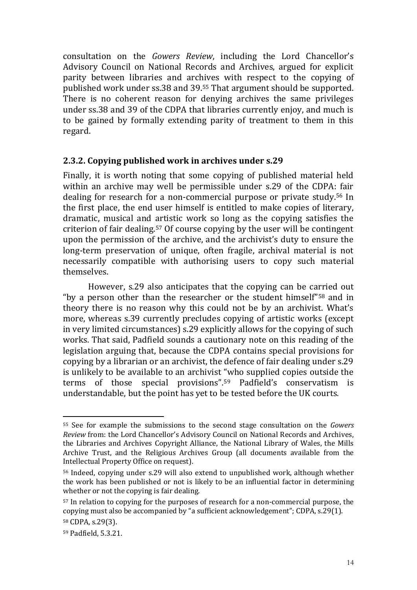consultation on the *Gowers Review*, including the Lord Chancellor's Advisory Council on National Records and Archives, argued for explicit parity between libraries and archives with respect to the copying of published work under ss.38 and 39.<sup>55</sup> That argument should be supported. There is no coherent reason for denying archives the same privileges under ss.38 and 39 of the CDPA that libraries currently enjoy, and much is to be gained by formally extending parity of treatment to them in this regard.

#### **2.3.2. Copying published work in archives under s.29**

Finally, it is worth noting that some copying of published material held within an archive may well be permissible under s.29 of the CDPA: fair dealing for research for a non-commercial purpose or private study.<sup>56</sup> In the first place, the end user himself is entitled to make copies of literary, dramatic, musical and artistic work so long as the copying satisfies the criterion of fair dealing.<sup>57</sup> Of course copying by the user will be contingent upon the permission of the archive, and the archivist's duty to ensure the long-term preservation of unique, often fragile, archival material is not necessarily compatible with authorising users to copy such material themselves.

However, s.29 also anticipates that the copying can be carried out "by a person other than the researcher or the student himself"<sup>58</sup> and in theory there is no reason why this could not be by an archivist. What's more, whereas s.39 currently precludes copying of artistic works (except in very limited circumstances) s.29 explicitly allows for the copying of such works. That said, Padfield sounds a cautionary note on this reading of the legislation arguing that, because the CDPA contains special provisions for copying by a librarian or an archivist, the defence of fair dealing under s.29 is unlikely to be available to an archivist "who supplied copies outside the terms of those special provisions".<sup>59</sup> Padfield's conservatism is understandable, but the point has yet to be tested before the UK courts.

<sup>55</sup> See for example the submissions to the second stage consultation on the *Gowers Review* from: the Lord Chancellor's Advisory Council on National Records and Archives, the Libraries and Archives Copyright Alliance, the National Library of Wales, the Mills Archive Trust, and the Religious Archives Group (all documents available from the Intellectual Property Office on request).

<sup>56</sup> Indeed, copying under s.29 will also extend to unpublished work, although whether the work has been published or not is likely to be an influential factor in determining whether or not the copying is fair dealing.

<sup>57</sup> In relation to copying for the purposes of research for a non-commercial purpose, the copying must also be accompanied by "a sufficient acknowledgement"; CDPA, s.29(1).

<sup>58</sup> CDPA, s.29(3).

<sup>59</sup> Padfield, 5.3.21.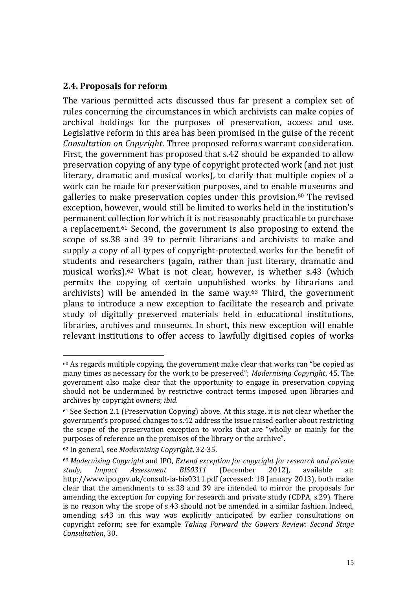#### **2.4. Proposals for reform**

The various permitted acts discussed thus far present a complex set of rules concerning the circumstances in which archivists can make copies of archival holdings for the purposes of preservation, access and use. Legislative reform in this area has been promised in the guise of the recent *Consultation on Copyright*. Three proposed reforms warrant consideration. First, the government has proposed that s.42 should be expanded to allow preservation copying of any type of copyright protected work (and not just literary, dramatic and musical works), to clarify that multiple copies of a work can be made for preservation purposes, and to enable museums and galleries to make preservation copies under this provision. <sup>60</sup> The revised exception, however, would still be limited to works held in the institution's permanent collection for which it is not reasonably practicable to purchase a replacement.<sup>61</sup> Second, the government is also proposing to extend the scope of ss.38 and 39 to permit librarians and archivists to make and supply a copy of all types of copyright-protected works for the benefit of students and researchers (again, rather than just literary, dramatic and musical works). <sup>62</sup> What is not clear, however, is whether s.43 (which permits the copying of certain unpublished works by librarians and archivists) will be amended in the same way.<sup>63</sup> Third, the government plans to introduce a new exception to facilitate the research and private study of digitally preserved materials held in educational institutions, libraries, archives and museums. In short, this new exception will enable relevant institutions to offer access to lawfully digitised copies of works

<sup>60</sup> As regards multiple copying, the government make clear that works can "be copied as many times as necessary for the work to be preserved"; *Modernising Copyright*, 45. The government also make clear that the opportunity to engage in preservation copying should not be undermined by restrictive contract terms imposed upon libraries and archives by copyright owners; *ibid*.

<sup>61</sup> See Section 2.1 (Preservation Copying) above. At this stage, it is not clear whether the government's proposed changes to s.42 address the issue raised earlier about restricting the scope of the preservation exception to works that are "wholly or mainly for the purposes of reference on the premises of the library or the archive".

<sup>62</sup> In general, see *Modernising Copyright*, 32-35.

<sup>63</sup> *Modernising Copyright* and IPO, *Extend exception for copyright for research and private study, Impact Assessment BIS0311* (December 2012), available at: http://www.ipo.gov.uk/consult-ia-bis0311.pdf (accessed: 18 January 2013), both make clear that the amendments to ss.38 and 39 are intended to mirror the proposals for amending the exception for copying for research and private study (CDPA, s.29). There is no reason why the scope of s.43 should not be amended in a similar fashion. Indeed, amending s.43 in this way was explicitly anticipated by earlier consultations on copyright reform; see for example *Taking Forward the Gowers Review: Second Stage Consultation*, 30.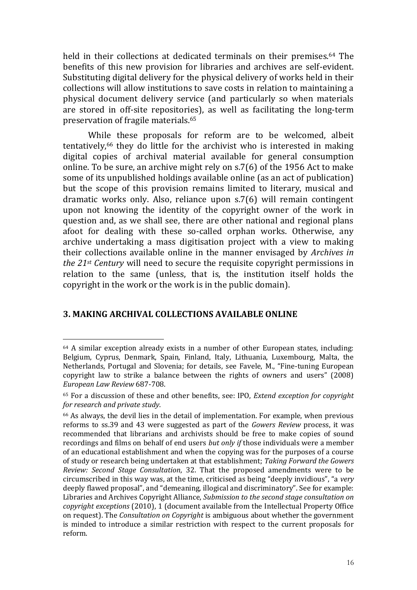held in their collections at dedicated terminals on their premises.<sup>64</sup> The benefits of this new provision for libraries and archives are self-evident. Substituting digital delivery for the physical delivery of works held in their collections will allow institutions to save costs in relation to maintaining a physical document delivery service (and particularly so when materials are stored in off-site repositories), as well as facilitating the long-term preservation of fragile materials.<sup>65</sup>

While these proposals for reform are to be welcomed, albeit tentatively,<sup>66</sup> they do little for the archivist who is interested in making digital copies of archival material available for general consumption online. To be sure, an archive might rely on s.7(6) of the 1956 Act to make some of its unpublished holdings available online (as an act of publication) but the scope of this provision remains limited to literary, musical and dramatic works only. Also, reliance upon s.7(6) will remain contingent upon not knowing the identity of the copyright owner of the work in question and, as we shall see, there are other national and regional plans afoot for dealing with these so-called orphan works. Otherwise, any archive undertaking a mass digitisation project with a view to making their collections available online in the manner envisaged by *Archives in the 21st Century* will need to secure the requisite copyright permissions in relation to the same (unless, that is, the institution itself holds the copyright in the work or the work is in the public domain).

#### **3. MAKING ARCHIVAL COLLECTIONS AVAILABLE ONLINE**

<sup>64</sup> A similar exception already exists in a number of other European states, including: Belgium, Cyprus, Denmark, Spain, Finland, Italy, Lithuania, Luxembourg, Malta, the Netherlands, Portugal and Slovenia; for details, see Favele, M., "Fine-tuning European copyright law to strike a balance between the rights of owners and users" (2008) *European Law Review* 687-708.

<sup>65</sup> For a discussion of these and other benefits, see: IPO, *Extend exception for copyright for research and private study*.

<sup>66</sup> As always, the devil lies in the detail of implementation. For example, when previous reforms to ss.39 and 43 were suggested as part of the *Gowers Review* process, it was recommended that librarians and archivists should be free to make copies of sound recordings and films on behalf of end users *but only if* those individuals were a member of an educational establishment and when the copying was for the purposes of a course of study or research being undertaken at that establishment; *Taking Forward the Gowers Review: Second Stage Consultation*, 32. That the proposed amendments were to be circumscribed in this way was, at the time, criticised as being "deeply invidious", "a *very* deeply flawed proposal", and "demeaning, illogical and discriminatory". See for example: Libraries and Archives Copyright Alliance, *Submission to the second stage consultation on copyright exceptions* (2010), 1 (document available from the Intellectual Property Office on request). The *Consultation on Copyright* is ambiguous about whether the government is minded to introduce a similar restriction with respect to the current proposals for reform.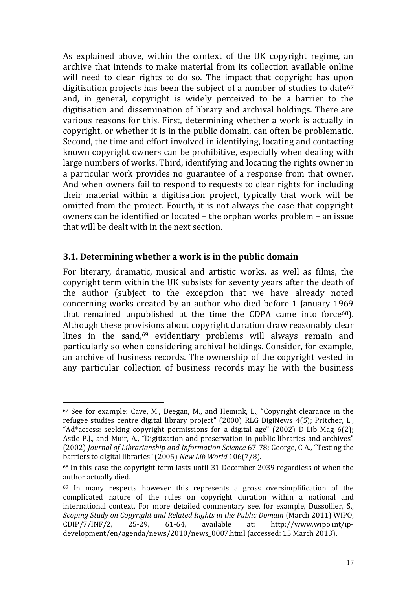As explained above, within the context of the UK copyright regime, an archive that intends to make material from its collection available online will need to clear rights to do so. The impact that copyright has upon digitisation projects has been the subject of a number of studies to date  $67$ and, in general, copyright is widely perceived to be a barrier to the digitisation and dissemination of library and archival holdings. There are various reasons for this. First, determining whether a work is actually in copyright, or whether it is in the public domain, can often be problematic. Second, the time and effort involved in identifying, locating and contacting known copyright owners can be prohibitive, especially when dealing with large numbers of works. Third, identifying and locating the rights owner in a particular work provides no guarantee of a response from that owner. And when owners fail to respond to requests to clear rights for including their material within a digitisation project, typically that work will be omitted from the project. Fourth, it is not always the case that copyright owners can be identified or located – the orphan works problem – an issue that will be dealt with in the next section.

#### **3.1. Determining whether a work is in the public domain**

1

For literary, dramatic, musical and artistic works, as well as films, the copyright term within the UK subsists for seventy years after the death of the author (subject to the exception that we have already noted concerning works created by an author who died before 1 January 1969 that remained unpublished at the time the CDPA came into force<sup>68</sup>). Although these provisions about copyright duration draw reasonably clear lines in the sand,<sup>69</sup> evidentiary problems will always remain and particularly so when considering archival holdings. Consider, for example, an archive of business records. The ownership of the copyright vested in any particular collection of business records may lie with the business

<sup>67</sup> See for example: Cave, M., Deegan, M., and Heinink, L., "Copyright clearance in the refugee studies centre digital library project" (2000) RLG DigiNews 4(5); Pritcher, L., "Ad\*access: seeking copyright permissions for a digital age" (2002) D-Lib Mag 6(2); Astle P.J., and Muir, A., "Digitization and preservation in public libraries and archives" (2002) *Journal of Librarianship and Information Science* 67-78; George, C.A., "Testing the barriers to digital libraries" (2005) *New Lib World* 106(7/8).

<sup>68</sup> In this case the copyright term lasts until 31 December 2039 regardless of when the author actually died.

 $69$  In many respects however this represents a gross oversimplification of the complicated nature of the rules on copyright duration within a national and international context. For more detailed commentary see, for example, Dussollier, S., *Scoping Study on Copyright and Related Rights in the Public Domain* (March 2011) WIPO, CDIP/7/INF/2, 25-29, 61-64, available at: http://www.wipo.int/ipdevelopment/en/agenda/news/2010/news\_0007.html (accessed: 15 March 2013).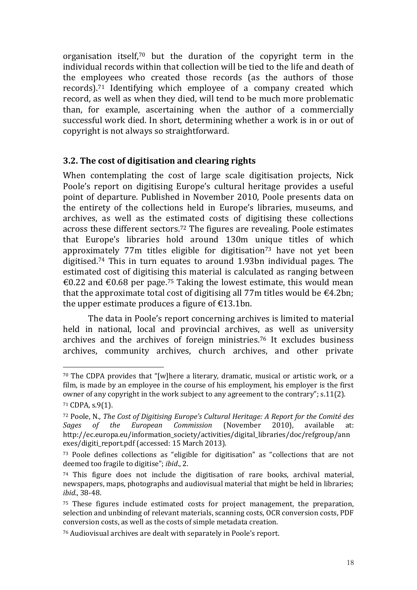organisation itself,<sup>70</sup> but the duration of the copyright term in the individual records within that collection will be tied to the life and death of the employees who created those records (as the authors of those records).<sup>71</sup> Identifying which employee of a company created which record, as well as when they died, will tend to be much more problematic than, for example, ascertaining when the author of a commercially successful work died. In short, determining whether a work is in or out of copyright is not always so straightforward.

#### **3.2. The cost of digitisation and clearing rights**

When contemplating the cost of large scale digitisation projects, Nick Poole's report on digitising Europe's cultural heritage provides a useful point of departure. Published in November 2010, Poole presents data on the entirety of the collections held in Europe's libraries, museums, and archives, as well as the estimated costs of digitising these collections across these different sectors.<sup>72</sup> The figures are revealing. Poole estimates that Europe's libraries hold around 130m unique titles of which approximately  $77m$  titles eligible for digitisation<sup> $73$ </sup> have not yet been digitised.<sup>74</sup> This in turn equates to around 1.93bn individual pages. The estimated cost of digitising this material is calculated as ranging between €0.22 and €0.68 per page.<sup>75</sup> Taking the lowest estimate, this would mean that the approximate total cost of digitising all 77m titles would be  $\epsilon$ 4.2bn; the upper estimate produces a figure of  $\epsilon$ 13.1bn.

The data in Poole's report concerning archives is limited to material held in national, local and provincial archives, as well as university archives and the archives of foreign ministries.<sup>76</sup> It excludes business archives, community archives, church archives, and other private

<sup>70</sup> The CDPA provides that "[w]here a literary, dramatic, musical or artistic work, or a film, is made by an employee in the course of his employment, his employer is the first owner of any copyright in the work subject to any agreement to the contrary"; s.11(2).

<sup>71</sup> CDPA, s.9(1).

<sup>72</sup> Poole, N., *The Cost of Digitising Europe's Cultural Heritage: A Report for the Comité des Sages of the European Commission* (November 2010), available at: http://ec.europa.eu/information\_society/activities/digital\_libraries/doc/refgroup/ann exes/digiti\_report.pdf (accessed: 15 March 2013).

<sup>73</sup> Poole defines collections as "eligible for digitisation" as "collections that are not deemed too fragile to digitise"; *ibid*., 2.

<sup>74</sup> This figure does not include the digitisation of rare books, archival material, newspapers, maps, photographs and audiovisual material that might be held in libraries; *ibid*., 38-48.

<sup>75</sup> These figures include estimated costs for project management, the preparation, selection and unbinding of relevant materials, scanning costs, OCR conversion costs, PDF conversion costs, as well as the costs of simple metadata creation.

<sup>76</sup> Audiovisual archives are dealt with separately in Poole's report.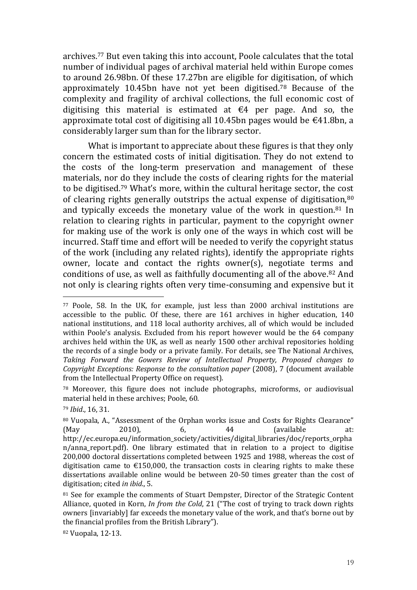archives.<sup>77</sup> But even taking this into account, Poole calculates that the total number of individual pages of archival material held within Europe comes to around 26.98bn. Of these 17.27bn are eligible for digitisation, of which approximately 10.45bn have not yet been digitised.<sup>78</sup> Because of the complexity and fragility of archival collections, the full economic cost of digitising this material is estimated at  $\epsilon$ 4 per page. And so, the approximate total cost of digitising all 10.45bn pages would be  $\epsilon$ 41.8bn, a considerably larger sum than for the library sector.

What is important to appreciate about these figures is that they only concern the estimated costs of initial digitisation. They do not extend to the costs of the long-term preservation and management of these materials, nor do they include the costs of clearing rights for the material to be digitised.<sup>79</sup> What's more, within the cultural heritage sector, the cost of clearing rights generally outstrips the actual expense of digitisation, 80 and typically exceeds the monetary value of the work in question.<sup>81</sup> In relation to clearing rights in particular, payment to the copyright owner for making use of the work is only one of the ways in which cost will be incurred. Staff time and effort will be needed to verify the copyright status of the work (including any related rights), identify the appropriate rights owner, locate and contact the rights owner(s), negotiate terms and conditions of use, as well as faithfully documenting all of the above.<sup>82</sup> And not only is clearing rights often very time-consuming and expensive but it

<u>.</u>

<sup>77</sup> Poole, 58. In the UK, for example, just less than 2000 archival institutions are accessible to the public. Of these, there are 161 archives in higher education, 140 national institutions, and 118 local authority archives, all of which would be included within Poole's analysis. Excluded from his report however would be the 64 company archives held within the UK, as well as nearly 1500 other archival repositories holding the records of a single body or a private family. For details, see The National Archives, *Taking Forward the Gowers Review of Intellectual Property, Proposed changes to Copyright Exceptions: Response to the consultation paper* (2008), 7 (document available from the Intellectual Property Office on request).

<sup>78</sup> Moreover, this figure does not include photographs, microforms, or audiovisual material held in these archives; Poole, 60.

<sup>79</sup> *Ibid*., 16, 31.

<sup>80</sup> Vuopala, A., "Assessment of the Orphan works issue and Costs for Rights Clearance" (May 2010), 6, 44 (available at: http://ec.europa.eu/information\_society/activities/digital\_libraries/doc/reports\_orpha n/anna\_report.pdf). One library estimated that in relation to a project to digitise 200,000 doctoral dissertations completed between 1925 and 1988, whereas the cost of digitisation came to  $\epsilon$ 150,000, the transaction costs in clearing rights to make these dissertations available online would be between 20-50 times greater than the cost of digitisation; cited *in ibid*., 5.

<sup>&</sup>lt;sup>81</sup> See for example the comments of Stuart Dempster, Director of the Strategic Content Alliance, quoted in Korn, *In from the Cold*, 21 ("The cost of trying to track down rights owners [invariably] far exceeds the monetary value of the work, and that's borne out by the financial profiles from the British Library").

<sup>82</sup> Vuopala, 12-13.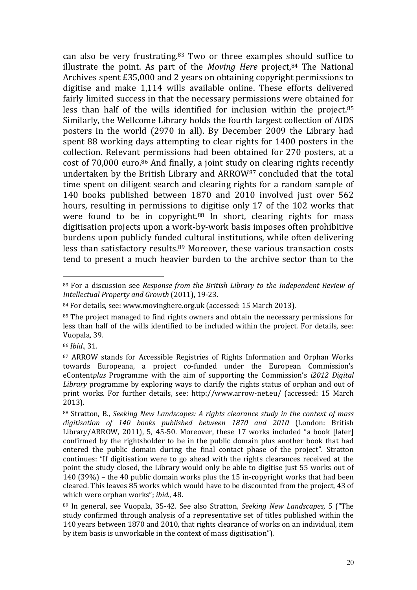can also be very frustrating.<sup>83</sup> Two or three examples should suffice to illustrate the point. As part of the *Moving Here* project,<sup>84</sup> The National Archives spent £35,000 and 2 years on obtaining copyright permissions to digitise and make 1,114 wills available online. These efforts delivered fairly limited success in that the necessary permissions were obtained for less than half of the wills identified for inclusion within the project.<sup>85</sup> Similarly, the Wellcome Library holds the fourth largest collection of AIDS posters in the world (2970 in all). By December 2009 the Library had spent 88 working days attempting to clear rights for 1400 posters in the collection. Relevant permissions had been obtained for 270 posters, at a cost of 70,000 euro.<sup>86</sup> And finally, a joint study on clearing rights recently undertaken by the British Library and ARROW<sup>87</sup> concluded that the total time spent on diligent search and clearing rights for a random sample of 140 books published between 1870 and 2010 involved just over 562 hours, resulting in permissions to digitise only 17 of the 102 works that were found to be in copyright.<sup>88</sup> In short, clearing rights for mass digitisation projects upon a work-by-work basis imposes often prohibitive burdens upon publicly funded cultural institutions, while often delivering less than satisfactory results.<sup>89</sup> Moreover, these various transaction costs tend to present a much heavier burden to the archive sector than to the

<sup>83</sup> For a discussion see *Response from the British Library to the Independent Review of Intellectual Property and Growth* (2011), 19-23.

<sup>84</sup> For details, see: www.movinghere.org.uk (accessed: 15 March 2013).

<sup>85</sup> The project managed to find rights owners and obtain the necessary permissions for less than half of the wills identified to be included within the project. For details, see: Vuopala, 39.

<sup>86</sup> *Ibid*., 31.

<sup>87</sup> ARROW stands for Accessible Registries of Rights Information and Orphan Works towards Europeana, a project co-funded under the European Commission's eContent*plus* Programme with the aim of supporting the Commission's *i2012 Digital Library* programme by exploring ways to clarify the rights status of orphan and out of print works. For further details, see: http://www.arrow-net.eu/ (accessed: 15 March 2013).

<sup>88</sup> Stratton, B., *Seeking New Landscapes: A rights clearance study in the context of mass digitisation of 140 books published between 1870 and 2010* (London: British Library/ARROW, 2011), 5, 45-50. Moreover, these 17 works included "a book [later] confirmed by the rightsholder to be in the public domain plus another book that had entered the public domain during the final contact phase of the project". Stratton continues: "If digitisation were to go ahead with the rights clearances received at the point the study closed, the Library would only be able to digitise just 55 works out of 140 (39%) – the 40 public domain works plus the 15 in-copyright works that had been cleared. This leaves 85 works which would have to be discounted from the project, 43 of which were orphan works"; *ibid*., 48.

<sup>89</sup> In general, see Vuopala, 35-42. See also Stratton, *Seeking New Landscapes*, 5 ("The study confirmed through analysis of a representative set of titles published within the 140 years between 1870 and 2010, that rights clearance of works on an individual, item by item basis is unworkable in the context of mass digitisation").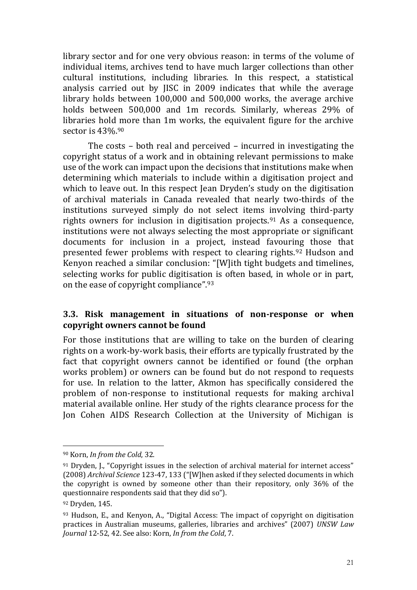library sector and for one very obvious reason: in terms of the volume of individual items, archives tend to have much larger collections than other cultural institutions, including libraries. In this respect, a statistical analysis carried out by JISC in 2009 indicates that while the average library holds between 100,000 and 500,000 works, the average archive holds between 500,000 and 1m records. Similarly, whereas 29% of libraries hold more than 1m works, the equivalent figure for the archive sector is 43%.<sup>90</sup>

The costs – both real and perceived – incurred in investigating the copyright status of a work and in obtaining relevant permissions to make use of the work can impact upon the decisions that institutions make when determining which materials to include within a digitisation project and which to leave out. In this respect Jean Dryden's study on the digitisation of archival materials in Canada revealed that nearly two-thirds of the institutions surveyed simply do not select items involving third-party rights owners for inclusion in digitisation projects.<sup>91</sup> As a consequence, institutions were not always selecting the most appropriate or significant documents for inclusion in a project, instead favouring those that presented fewer problems with respect to clearing rights.<sup>92</sup> Hudson and Kenyon reached a similar conclusion: "[W]ith tight budgets and timelines, selecting works for public digitisation is often based, in whole or in part, on the ease of copyright compliance".<sup>93</sup>

#### **3.3. Risk management in situations of non-response or when copyright owners cannot be found**

For those institutions that are willing to take on the burden of clearing rights on a work-by-work basis, their efforts are typically frustrated by the fact that copyright owners cannot be identified or found (the orphan works problem) or owners can be found but do not respond to requests for use. In relation to the latter, Akmon has specifically considered the problem of non-response to institutional requests for making archival material available online. Her study of the rights clearance process for the Jon Cohen AIDS Research Collection at the University of Michigan is

<sup>90</sup> Korn, *In from the Cold*, 32.

 $91$  Dryden, I., "Copyright issues in the selection of archival material for internet access" (2008) *Archival Science* 123-47, 133 ("[W]hen asked if they selected documents in which the copyright is owned by someone other than their repository, only 36% of the questionnaire respondents said that they did so").

<sup>92</sup> Dryden, 145.

<sup>93</sup> Hudson, E., and Kenyon, A., "Digital Access: The impact of copyright on digitisation practices in Australian museums, galleries, libraries and archives" (2007) *UNSW Law Journal* 12-52, 42. See also: Korn, *In from the Cold*, 7.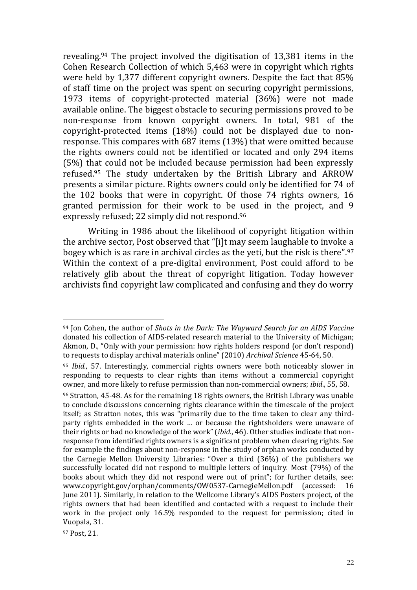revealing.<sup>94</sup> The project involved the digitisation of 13,381 items in the Cohen Research Collection of which 5,463 were in copyright which rights were held by 1,377 different copyright owners. Despite the fact that 85% of staff time on the project was spent on securing copyright permissions, 1973 items of copyright-protected material (36%) were not made available online. The biggest obstacle to securing permissions proved to be non-response from known copyright owners. In total, 981 of the copyright-protected items (18%) could not be displayed due to nonresponse. This compares with 687 items (13%) that were omitted because the rights owners could not be identified or located and only 294 items (5%) that could not be included because permission had been expressly refused.<sup>95</sup> The study undertaken by the British Library and ARROW presents a similar picture. Rights owners could only be identified for 74 of the 102 books that were in copyright. Of those 74 rights owners, 16 granted permission for their work to be used in the project, and 9 expressly refused; 22 simply did not respond.<sup>96</sup>

Writing in 1986 about the likelihood of copyright litigation within the archive sector, Post observed that "[i]t may seem laughable to invoke a bogey which is as rare in archival circles as the yeti, but the risk is there".<sup>97</sup> Within the context of a pre-digital environment, Post could afford to be relatively glib about the threat of copyright litigation. Today however archivists find copyright law complicated and confusing and they do worry

<u>.</u>

<sup>94</sup> Jon Cohen, the author of *Shots in the Dark: The Wayward Search for an AIDS Vaccine* donated his collection of AIDS-related research material to the University of Michigan; Akmon, D., "Only with your permission: how rights holders respond (or don't respond) to requests to display archival materials online" (2010) *Archival Science* 45-64, 50.

<sup>95</sup> *Ibid*., 57. Interestingly, commercial rights owners were both noticeably slower in responding to requests to clear rights than items without a commercial copyright owner, and more likely to refuse permission than non-commercial owners; *ibid*., 55, 58.

<sup>96</sup> Stratton, 45-48. As for the remaining 18 rights owners, the British Library was unable to conclude discussions concerning rights clearance within the timescale of the project itself; as Stratton notes, this was "primarily due to the time taken to clear any thirdparty rights embedded in the work … or because the rightsholders were unaware of their rights or had no knowledge of the work" (*ibid*., 46). Other studies indicate that nonresponse from identified rights owners is a significant problem when clearing rights. See for example the findings about non-response in the study of orphan works conducted by the Carnegie Mellon University Libraries: "Over a third (36%) of the publishers we successfully located did not respond to multiple letters of inquiry. Most (79%) of the books about which they did not respond were out of print"; for further details, see: www.copyright.gov/orphan/comments/OW0537-CarnegieMellon.pdf (accessed: 16 June 2011). Similarly, in relation to the Wellcome Library's AIDS Posters project, of the rights owners that had been identified and contacted with a request to include their work in the project only 16.5% responded to the request for permission; cited in Vuopala, 31.

<sup>97</sup> Post, 21.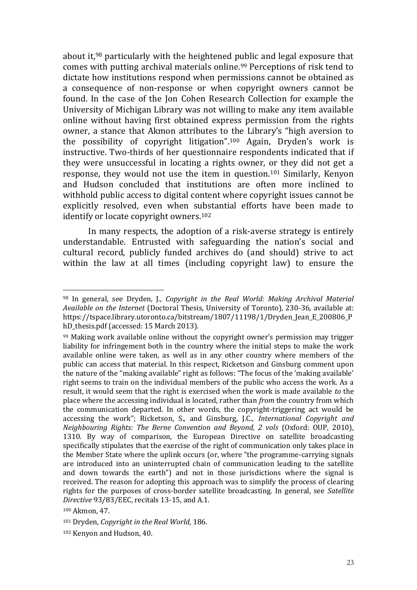about it,<sup>98</sup> particularly with the heightened public and legal exposure that comes with putting archival materials online.<sup>99</sup> Perceptions of risk tend to dictate how institutions respond when permissions cannot be obtained as a consequence of non-response or when copyright owners cannot be found. In the case of the Jon Cohen Research Collection for example the University of Michigan Library was not willing to make any item available online without having first obtained express permission from the rights owner, a stance that Akmon attributes to the Library's "high aversion to the possibility of copyright litigation".<sup>100</sup> Again, Dryden's work is instructive. Two-thirds of her questionnaire respondents indicated that if they were unsuccessful in locating a rights owner, or they did not get a response, they would not use the item in question.<sup>101</sup> Similarly, Kenyon and Hudson concluded that institutions are often more inclined to withhold public access to digital content where copyright issues cannot be explicitly resolved, even when substantial efforts have been made to identify or locate copyright owners.<sup>102</sup>

In many respects, the adoption of a risk-averse strategy is entirely understandable. Entrusted with safeguarding the nation's social and cultural record, publicly funded archives do (and should) strive to act within the law at all times (including copyright law) to ensure the

<u>.</u>

<sup>98</sup> In general, see Dryden, J., *Copyright in the Real World: Making Archival Material Available on the Internet* (Doctoral Thesis, University of Toronto), 230-36, available at: https://tspace.library.utoronto.ca/bitstream/1807/11198/1/Dryden\_Jean\_E\_200806\_P hD\_thesis.pdf (accessed: 15 March 2013).

<sup>99</sup> Making work available online without the copyright owner's permission may trigger liability for infringement both in the country where the initial steps to make the work available online were taken, as well as in any other country where members of the public can access that material. In this respect, Ricketson and Ginsburg comment upon the nature of the "making available" right as follows: "The focus of the 'making available' right seems to train on the individual members of the public who access the work. As a result, it would seem that the right is exercised when the work is made available *to* the place where the accessing individual is located, rather than *from* the country from which the communication departed. In other words, the copyright-triggering act would be accessing the work"; Ricketson, S., and Ginsburg, J.C., *International Copyright and Neighbouring Rights: The Berne Convention and Beyond, 2 vols* (Oxford: OUP, 2010), 1310. By way of comparison, the European Directive on satellite broadcasting specifically stipulates that the exercise of the right of communication only takes place in the Member State where the uplink occurs (or, where "the programme-carrying signals are introduced into an uninterrupted chain of communication leading to the satellite and down towards the earth") and not in those jurisdictions where the signal is received. The reason for adopting this approach was to simplify the process of clearing rights for the purposes of cross-border satellite broadcasting. In general, see *Satellite Directive* 93/83/EEC, recitals 13-15, and A.1.

<sup>100</sup> Akmon, 47.

<sup>101</sup> Dryden, *Copyright in the Real World*, 186.

<sup>102</sup> Kenyon and Hudson, 40.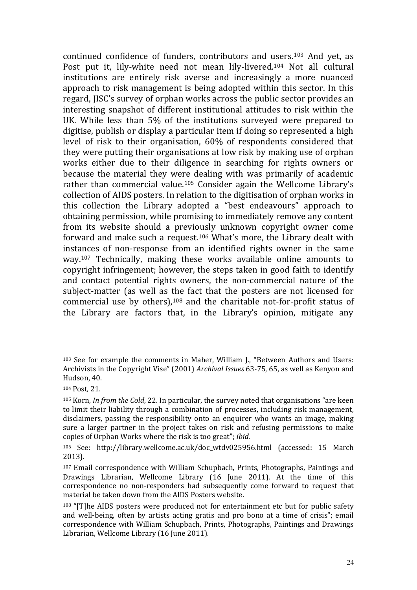continued confidence of funders, contributors and users.<sup>103</sup> And yet, as Post put it, lily-white need not mean lily-livered.<sup>104</sup> Not all cultural institutions are entirely risk averse and increasingly a more nuanced approach to risk management is being adopted within this sector. In this regard, JISC's survey of orphan works across the public sector provides an interesting snapshot of different institutional attitudes to risk within the UK. While less than 5% of the institutions surveyed were prepared to digitise, publish or display a particular item if doing so represented a high level of risk to their organisation, 60% of respondents considered that they were putting their organisations at low risk by making use of orphan works either due to their diligence in searching for rights owners or because the material they were dealing with was primarily of academic rather than commercial value.<sup>105</sup> Consider again the Wellcome Library's collection of AIDS posters. In relation to the digitisation of orphan works in this collection the Library adopted a "best endeavours" approach to obtaining permission, while promising to immediately remove any content from its website should a previously unknown copyright owner come forward and make such a request.<sup>106</sup> What's more, the Library dealt with instances of non-response from an identified rights owner in the same way.<sup>107</sup> Technically, making these works available online amounts to copyright infringement; however, the steps taken in good faith to identify and contact potential rights owners, the non-commercial nature of the subject-matter (as well as the fact that the posters are not licensed for commercial use by others), <sup>108</sup> and the charitable not-for-profit status of the Library are factors that, in the Library's opinion, mitigate any

<sup>103</sup> See for example the comments in Maher, William J., "Between Authors and Users: Archivists in the Copyright Vise" (2001) *Archival Issues* 63-75, 65, as well as Kenyon and Hudson, 40.

<sup>104</sup> Post, 21.

<sup>105</sup> Korn, *In from the Cold*, 22. In particular, the survey noted that organisations "are keen to limit their liability through a combination of processes, including risk management, disclaimers, passing the responsibility onto an enquirer who wants an image, making sure a larger partner in the project takes on risk and refusing permissions to make copies of Orphan Works where the risk is too great"; *ibid*.

<sup>106</sup> See: http://library.wellcome.ac.uk/doc\_wtdv025956.html (accessed: 15 March 2013).

<sup>107</sup> Email correspondence with William Schupbach, Prints, Photographs, Paintings and Drawings Librarian, Wellcome Library (16 June 2011). At the time of this correspondence no non-responders had subsequently come forward to request that material be taken down from the AIDS Posters website.

<sup>108</sup> "[T]he AIDS posters were produced not for entertainment etc but for public safety and well-being, often by artists acting gratis and pro bono at a time of crisis"; email correspondence with William Schupbach, Prints, Photographs, Paintings and Drawings Librarian, Wellcome Library (16 June 2011).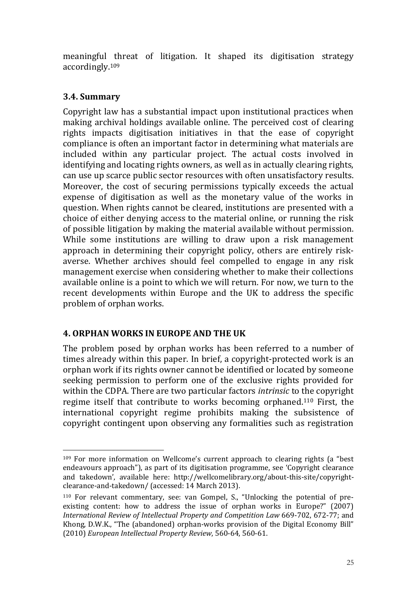meaningful threat of litigation. It shaped its digitisation strategy accordingly.<sup>109</sup>

## **3.4. Summary**

1

Copyright law has a substantial impact upon institutional practices when making archival holdings available online. The perceived cost of clearing rights impacts digitisation initiatives in that the ease of copyright compliance is often an important factor in determining what materials are included within any particular project. The actual costs involved in identifying and locating rights owners, as well as in actually clearing rights, can use up scarce public sector resources with often unsatisfactory results. Moreover, the cost of securing permissions typically exceeds the actual expense of digitisation as well as the monetary value of the works in question. When rights cannot be cleared, institutions are presented with a choice of either denying access to the material online, or running the risk of possible litigation by making the material available without permission. While some institutions are willing to draw upon a risk management approach in determining their copyright policy, others are entirely riskaverse. Whether archives should feel compelled to engage in any risk management exercise when considering whether to make their collections available online is a point to which we will return. For now, we turn to the recent developments within Europe and the UK to address the specific problem of orphan works.

## **4. ORPHAN WORKS IN EUROPE AND THE UK**

The problem posed by orphan works has been referred to a number of times already within this paper. In brief, a copyright-protected work is an orphan work if its rights owner cannot be identified or located by someone seeking permission to perform one of the exclusive rights provided for within the CDPA. There are two particular factors *intrinsic* to the copyright regime itself that contribute to works becoming orphaned.<sup>110</sup> First, the international copyright regime prohibits making the subsistence of copyright contingent upon observing any formalities such as registration

<sup>109</sup> For more information on Wellcome's current approach to clearing rights (a "best endeavours approach"), as part of its digitisation programme, see 'Copyright clearance and takedown', available here: http://wellcomelibrary.org/about-this-site/copyrightclearance-and-takedown/ (accessed: 14 March 2013).

<sup>110</sup> For relevant commentary, see: van Gompel, S., "Unlocking the potential of preexisting content: how to address the issue of orphan works in Europe?" (2007) *International Review of Intellectual Property and Competition Law* 669-702, 672-77; and Khong, D.W.K., "The (abandoned) orphan-works provision of the Digital Economy Bill" (2010) *European Intellectual Property Review*, 560-64, 560-61.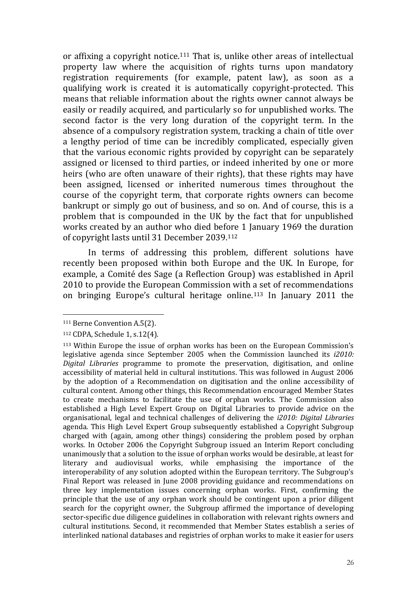or affixing a copyright notice.<sup>111</sup> That is, unlike other areas of intellectual property law where the acquisition of rights turns upon mandatory registration requirements (for example, patent law), as soon as a qualifying work is created it is automatically copyright-protected. This means that reliable information about the rights owner cannot always be easily or readily acquired, and particularly so for unpublished works. The second factor is the very long duration of the copyright term. In the absence of a compulsory registration system, tracking a chain of title over a lengthy period of time can be incredibly complicated, especially given that the various economic rights provided by copyright can be separately assigned or licensed to third parties, or indeed inherited by one or more heirs (who are often unaware of their rights), that these rights may have been assigned, licensed or inherited numerous times throughout the course of the copyright term, that corporate rights owners can become bankrupt or simply go out of business, and so on. And of course, this is a problem that is compounded in the UK by the fact that for unpublished works created by an author who died before 1 January 1969 the duration of copyright lasts until 31 December 2039.<sup>112</sup>

In terms of addressing this problem, different solutions have recently been proposed within both Europe and the UK. In Europe, for example, a Comité des Sage (a Reflection Group) was established in April 2010 to provide the European Commission with a set of recommendations on bringing Europe's cultural heritage online.<sup>113</sup> In January 2011 the

<sup>111</sup> Berne Convention A.5(2).

<sup>112</sup> CDPA, Schedule 1, s.12(4).

<sup>113</sup> Within Europe the issue of orphan works has been on the European Commission's legislative agenda since September 2005 when the Commission launched its *i2010: Digital Libraries* programme to promote the preservation, digitisation, and online accessibility of material held in cultural institutions. This was followed in August 2006 by the adoption of a Recommendation on digitisation and the online accessibility of cultural content. Among other things, this Recommendation encouraged Member States to create mechanisms to facilitate the use of orphan works. The Commission also established a High Level Expert Group on Digital Libraries to provide advice on the organisational, legal and technical challenges of delivering the *i2010: Digital Libraries* agenda. This High Level Expert Group subsequently established a Copyright Subgroup charged with (again, among other things) considering the problem posed by orphan works. In October 2006 the Copyright Subgroup issued an Interim Report concluding unanimously that a solution to the issue of orphan works would be desirable, at least for literary and audiovisual works, while emphasising the importance of the interoperability of any solution adopted within the European territory. The Subgroup's Final Report was released in June 2008 providing guidance and recommendations on three key implementation issues concerning orphan works. First, confirming the principle that the use of any orphan work should be contingent upon a prior diligent search for the copyright owner, the Subgroup affirmed the importance of developing sector-specific due diligence guidelines in collaboration with relevant rights owners and cultural institutions. Second, it recommended that Member States establish a series of interlinked national databases and registries of orphan works to make it easier for users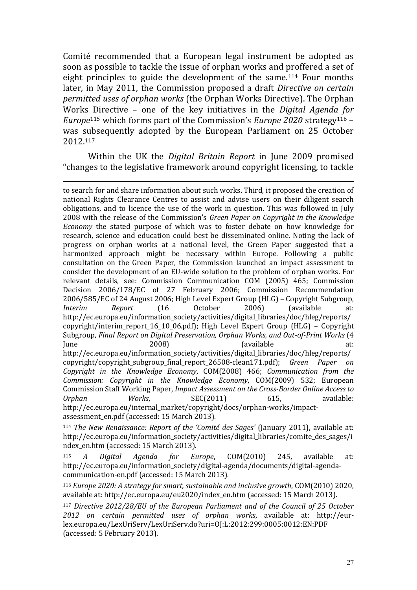Comité recommended that a European legal instrument be adopted as soon as possible to tackle the issue of orphan works and proffered a set of eight principles to guide the development of the same.<sup>114</sup> Four months later, in May 2011, the Commission proposed a draft *Directive on certain permitted uses of orphan works* (the Orphan Works Directive). The Orphan Works Directive – one of the key initiatives in the *Digital Agenda for Europe*<sup>115</sup> which forms part of the Commission's *Europe 2020* strategy<sup>116</sup> – was subsequently adopted by the European Parliament on 25 October 2012.<sup>117</sup>

Within the UK the *Digital Britain Report* in June 2009 promised "changes to the legislative framework around copyright licensing, to tackle

<u>.</u>

to search for and share information about such works. Third, it proposed the creation of national Rights Clearance Centres to assist and advise users on their diligent search obligations, and to licence the use of the work in question. This was followed in July 2008 with the release of the Commission's *Green Paper on Copyright in the Knowledge Economy* the stated purpose of which was to foster debate on how knowledge for research, science and education could best be disseminated online. Noting the lack of progress on orphan works at a national level, the Green Paper suggested that a harmonized approach might be necessary within Europe. Following a public consultation on the Green Paper, the Commission launched an impact assessment to consider the development of an EU-wide solution to the problem of orphan works. For relevant details, see: Commission Communication COM (2005) 465; Commission Decision 2006/178/EC of 27 February 2006; Commission Recommendation 2006/585/EC of 24 August 2006; High Level Expert Group (HLG) – Copyright Subgroup, *Interim Report* (16 October 2006) (available at: http://ec.europa.eu/information\_society/activities/digital\_libraries/doc/hleg/reports/ copyright/interim\_report\_16\_10\_06.pdf); High Level Expert Group (HLG) – Copyright Subgroup, *Final Report on Digital Preservation, Orphan Works, and Out-of-Print Works* (4 June 2008) (available at: http://ec.europa.eu/information\_society/activities/digital\_libraries/doc/hleg/reports/ copyright/copyright\_subgroup\_final\_report\_26508-clean171.pdf); *Green Paper on Copyright in the Knowledge Economy*, COM(2008) 466; *Communication from the Commission: Copyright in the Knowledge Economy*, COM(2009) 532; European Commission Staff Working Paper, *Impact Assessment on the Cross-Border Online Access to Orphan Works*, SEC(2011) 615, available: http://ec.europa.eu/internal\_market/copyright/docs/orphan-works/impactassessment\_en.pdf (accessed: 15 March 2013).

<sup>114</sup> *The New Renaissance: Report of the 'Comité des Sages'* (January 2011), available at: http://ec.europa.eu/information\_society/activities/digital\_libraries/comite\_des\_sages/i ndex\_en.htm (accessed: 15 March 2013).

<sup>115</sup> *A Digital Agenda for Europe*, COM(2010) 245, available at: http://ec.europa.eu/information\_society/digital-agenda/documents/digital-agendacommunication-en.pdf (accessed: 15 March 2013).

<sup>116</sup> *Europe 2020: A strategy for smart, sustainable and inclusive growth*, COM(2010) 2020, available at: http://ec.europa.eu/eu2020/index\_en.htm (accessed: 15 March 2013).

<sup>117</sup> *Directive 2012/28/EU of the European Parliament and of the Council of 25 October 2012 on certain permitted uses of orphan works*, available at: http://eurlex.europa.eu/LexUriServ/LexUriServ.do?uri=OJ:L:2012:299:0005:0012:EN:PDF (accessed: 5 February 2013).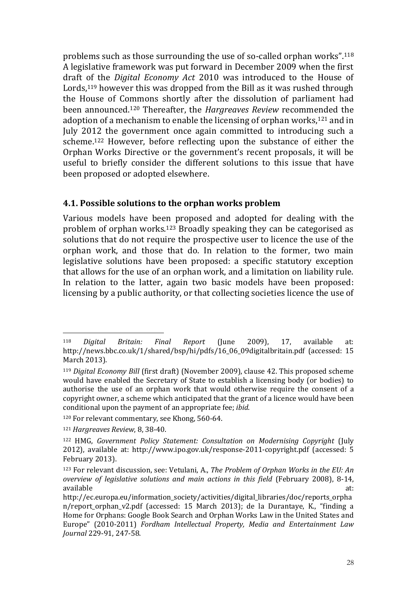problems such as those surrounding the use of so-called orphan works".<sup>118</sup> A legislative framework was put forward in December 2009 when the first draft of the *Digital Economy Act* 2010 was introduced to the House of Lords,<sup>119</sup> however this was dropped from the Bill as it was rushed through the House of Commons shortly after the dissolution of parliament had been announced.<sup>120</sup> Thereafter, the *Hargreaves Review* recommended the adoption of a mechanism to enable the licensing of orphan works,<sup>121</sup> and in July 2012 the government once again committed to introducing such a scheme.<sup>122</sup> However, before reflecting upon the substance of either the Orphan Works Directive or the government's recent proposals, it will be useful to briefly consider the different solutions to this issue that have been proposed or adopted elsewhere.

#### **4.1. Possible solutions to the orphan works problem**

Various models have been proposed and adopted for dealing with the problem of orphan works.<sup>123</sup> Broadly speaking they can be categorised as solutions that do not require the prospective user to licence the use of the orphan work, and those that do. In relation to the former, two main legislative solutions have been proposed: a specific statutory exception that allows for the use of an orphan work, and a limitation on liability rule. In relation to the latter, again two basic models have been proposed: licensing by a public authority, or that collecting societies licence the use of

<sup>118</sup> *Digital Britain: Final Report* (June 2009), 17, available at: http://news.bbc.co.uk/1/shared/bsp/hi/pdfs/16\_06\_09digitalbritain.pdf (accessed: 15 March 2013).

<sup>119</sup> *Digital Economy Bill* (first draft) (November 2009), clause 42. This proposed scheme would have enabled the Secretary of State to establish a licensing body (or bodies) to authorise the use of an orphan work that would otherwise require the consent of a copyright owner, a scheme which anticipated that the grant of a licence would have been conditional upon the payment of an appropriate fee; *ibid*.

<sup>120</sup> For relevant commentary, see Khong, 560-64.

<sup>121</sup> *Hargreaves Review*, 8, 38-40.

<sup>122</sup> HMG, *Government Policy Statement: Consultation on Modernising Copyright* (July 2012), available at: http://www.ipo.gov.uk/response-2011-copyright.pdf (accessed: 5 February 2013).

<sup>123</sup> For relevant discussion, see: Vetulani, A., *The Problem of Orphan Works in the EU: An overview of legislative solutions and main actions in this field* (February 2008), 8-14, available at: and a state at a state at a state at a state at a state at a state at a state at a state at a st

http://ec.europa.eu/information\_society/activities/digital\_libraries/doc/reports\_orpha n/report\_orphan\_v2.pdf (accessed: 15 March 2013); de la Durantaye, K., "finding a Home for Orphans: Google Book Search and Orphan Works Law in the United States and Europe" (2010-2011) *Fordham Intellectual Property, Media and Entertainment Law Journal* 229-91, 247-58.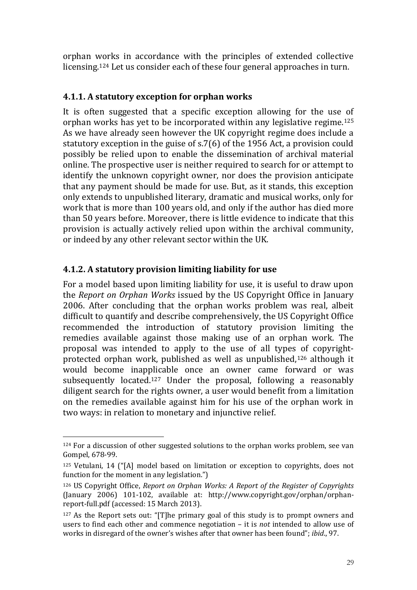orphan works in accordance with the principles of extended collective licensing.<sup>124</sup> Let us consider each of these four general approaches in turn.

## **4.1.1. A statutory exception for orphan works**

It is often suggested that a specific exception allowing for the use of orphan works has yet to be incorporated within any legislative regime.<sup>125</sup> As we have already seen however the UK copyright regime does include a statutory exception in the guise of s.7(6) of the 1956 Act, a provision could possibly be relied upon to enable the dissemination of archival material online. The prospective user is neither required to search for or attempt to identify the unknown copyright owner, nor does the provision anticipate that any payment should be made for use. But, as it stands, this exception only extends to unpublished literary, dramatic and musical works, only for work that is more than 100 years old, and only if the author has died more than 50 years before. Moreover, there is little evidence to indicate that this provision is actually actively relied upon within the archival community, or indeed by any other relevant sector within the UK.

## **4.1.2. A statutory provision limiting liability for use**

1

For a model based upon limiting liability for use, it is useful to draw upon the *Report on Orphan Works* issued by the US Copyright Office in January 2006. After concluding that the orphan works problem was real, albeit difficult to quantify and describe comprehensively, the US Copyright Office recommended the introduction of statutory provision limiting the remedies available against those making use of an orphan work. The proposal was intended to apply to the use of all types of copyrightprotected orphan work, published as well as unpublished,<sup>126</sup> although it would become inapplicable once an owner came forward or was subsequently located.<sup>127</sup> Under the proposal, following a reasonably diligent search for the rights owner, a user would benefit from a limitation on the remedies available against him for his use of the orphan work in two ways: in relation to monetary and injunctive relief.

<sup>&</sup>lt;sup>124</sup> For a discussion of other suggested solutions to the orphan works problem, see van Gompel, 678-99.

<sup>125</sup> Vetulani, 14 ("[A] model based on limitation or exception to copyrights, does not function for the moment in any legislation.")

<sup>126</sup> US Copyright Office, *Report on Orphan Works: A Report of the Register of Copyrights* (January 2006) 101-102, available at: http://www.copyright.gov/orphan/orphanreport-full.pdf (accessed: 15 March 2013).

<sup>127</sup> As the Report sets out: "[T]he primary goal of this study is to prompt owners and users to find each other and commence negotiation – it is *not* intended to allow use of works in disregard of the owner's wishes after that owner has been found"; *ibid*., 97.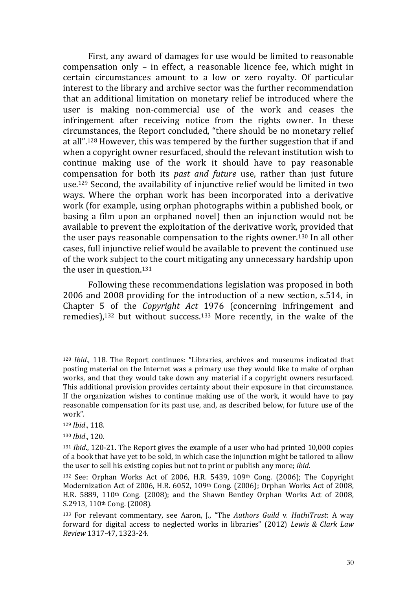First, any award of damages for use would be limited to reasonable compensation only – in effect, a reasonable licence fee, which might in certain circumstances amount to a low or zero royalty. Of particular interest to the library and archive sector was the further recommendation that an additional limitation on monetary relief be introduced where the user is making non-commercial use of the work and ceases the infringement after receiving notice from the rights owner. In these circumstances, the Report concluded, "there should be no monetary relief at all".<sup>128</sup> However, this was tempered by the further suggestion that if and when a copyright owner resurfaced, should the relevant institution wish to continue making use of the work it should have to pay reasonable compensation for both its *past and future* use, rather than just future use.<sup>129</sup> Second, the availability of injunctive relief would be limited in two ways. Where the orphan work has been incorporated into a derivative work (for example, using orphan photographs within a published book, or basing a film upon an orphaned novel) then an injunction would not be available to prevent the exploitation of the derivative work, provided that the user pays reasonable compensation to the rights owner.<sup>130</sup> In all other cases, full injunctive relief would be available to prevent the continued use of the work subject to the court mitigating any unnecessary hardship upon the user in question.<sup>131</sup>

Following these recommendations legislation was proposed in both 2006 and 2008 providing for the introduction of a new section, s.514, in Chapter 5 of the *Copyright Act* 1976 (concerning infringement and remedies), <sup>132</sup> but without success.<sup>133</sup> More recently, in the wake of the

<sup>128</sup> *Ibid*., 118. The Report continues: "Libraries, archives and museums indicated that posting material on the Internet was a primary use they would like to make of orphan works, and that they would take down any material if a copyright owners resurfaced. This additional provision provides certainty about their exposure in that circumstance. If the organization wishes to continue making use of the work, it would have to pay reasonable compensation for its past use, and, as described below, for future use of the work".

<sup>129</sup> *Ibid*., 118.

<sup>130</sup> *Ibid*., 120.

<sup>131</sup> *Ibid*., 120-21. The Report gives the example of a user who had printed 10,000 copies of a book that have yet to be sold, in which case the injunction might be tailored to allow the user to sell his existing copies but not to print or publish any more; *ibid*.

<sup>132</sup> See: Orphan Works Act of 2006, H.R. 5439, 109th Cong. (2006); The Copyright Modernization Act of 2006, H.R. 6052, 109th Cong. (2006); Orphan Works Act of 2008, H.R. 5889, 110th Cong. (2008); and the Shawn Bentley Orphan Works Act of 2008, S.2913, 110th Cong. (2008).

<sup>133</sup> For relevant commentary, see Aaron, J., "The *Authors Guild* v. *HathiTrust*: A way forward for digital access to neglected works in libraries" (2012) *Lewis & Clark Law Review* 1317-47, 1323-24.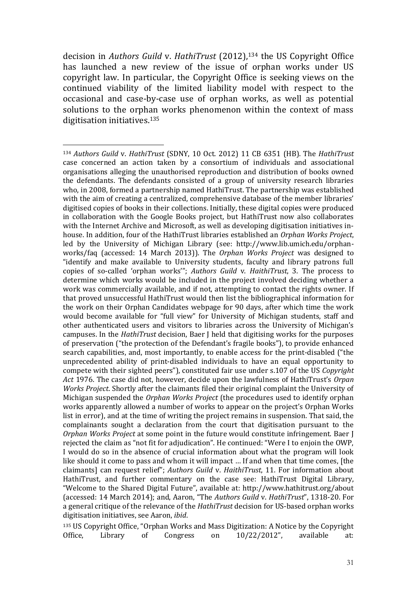decision in *Authors Guild* v. *HathiTrust* (2012),<sup>134</sup> the US Copyright Office has launched a new review of the issue of orphan works under US copyright law. In particular, the Copyright Office is seeking views on the continued viability of the limited liability model with respect to the occasional and case-by-case use of orphan works, as well as potential solutions to the orphan works phenomenon within the context of mass digitisation initiatives.<sup>135</sup>

<u>.</u>

<sup>135</sup> US Copyright Office, "Orphan Works and Mass Digitization: A Notice by the Copyright Office, Library of Congress on 10/22/2012", available at:

<sup>134</sup> *Authors Guild* v. *HathiTrust* (SDNY, 10 Oct. 2012) 11 CB 6351 (HB). The *HathiTrust* case concerned an action taken by a consortium of individuals and associational organisations alleging the unauthorised reproduction and distribution of books owned the defendants. The defendants consisted of a group of university research libraries who, in 2008, formed a partnership named HathiTrust. The partnership was established with the aim of creating a centralized, comprehensive database of the member libraries' digitised copies of books in their collections. Initially, these digital copies were produced in collaboration with the Google Books project, but HathiTrust now also collaborates with the Internet Archive and Microsoft, as well as developing digitisation initiatives inhouse. In addition, four of the HathiTrust libraries established an *Orphan Works Project*, led by the University of Michigan Library (see: http://www.lib.umich.edu/orphanworks/faq (accessed: 14 March 2013)). The *Orphan Works Project* was designed to "identify and make available to University students, faculty and library patrons full copies of so-called 'orphan works'"; *Authors Guild* v. *HaithiTrust*, 3. The process to determine which works would be included in the project involved deciding whether a work was commercially available, and if not, attempting to contact the rights owner. If that proved unsuccessful HathiTrust would then list the bibliographical information for the work on their Orphan Candidates webpage for 90 days, after which time the work would become available for "full view" for University of Michigan students, staff and other authenticated users and visitors to libraries across the University of Michigan's campuses. In the *HathiTrust* decision, Baer J held that digitising works for the purposes of preservation ("the protection of the Defendant's fragile books"), to provide enhanced search capabilities, and, most importantly, to enable access for the print-disabled ("the unprecedented ability of print-disabled individuals to have an equal opportunity to compete with their sighted peers"), constituted fair use under s.107 of the US *Copyright Act* 1976. The case did not, however, decide upon the lawfulness of HathiTrust's *Orpan Works Project*. Shortly after the claimants filed their original complaint the University of Michigan suspended the *Orphan Works Project* (the procedures used to identify orphan works apparently allowed a number of works to appear on the project's Orphan Works list in error), and at the time of writing the project remains in suspension. That said, the complainants sought a declaration from the court that digitisation pursuant to the *Orphan Works Project* at some point in the future would constitute infringement. Baer J rejected the claim as "not fit for adjudication". He continued: "Were I to enjoin the OWP, I would do so in the absence of crucial information about what the program will look like should it come to pass and whom it will impact … If and when that time comes, [the claimants] can request relief"; *Authors Guild* v. *HaithiTrust*, 11. For information about HathiTrust, and further commentary on the case see: HathiTrust Digital Library, "Welcome to the Shared Digital Future", available at: http://www.hathitrust.org/about (accessed: 14 March 2014); and, Aaron, "The *Authors Guild* v. *HathiTrust*", 1318-20. For a general critique of the relevance of the *HathiTrust* decision for US-based orphan works digitisation initiatives, see Aaron, *ibid*.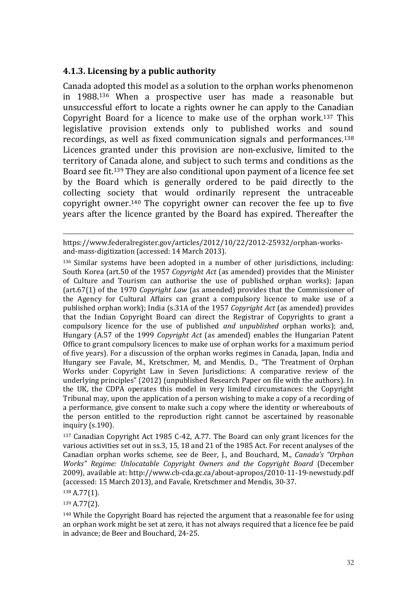#### **4.1.3. Licensing by a public authority**

Canada adopted this model as a solution to the orphan works phenomenon in 1988.<sup>136</sup> When a prospective user has made a reasonable but unsuccessful effort to locate a rights owner he can apply to the Canadian Copyright Board for a licence to make use of the orphan work.<sup>137</sup> This legislative provision extends only to published works and sound recordings, as well as fixed communication signals and performances.<sup>138</sup> Licences granted under this provision are non-exclusive, limited to the territory of Canada alone, and subject to such terms and conditions as the Board see fit.<sup>139</sup> They are also conditional upon payment of a licence fee set by the Board which is generally ordered to be paid directly to the collecting society that would ordinarily represent the untraceable copyright owner.<sup>140</sup> The copyright owner can recover the fee up to five years after the licence granted by the Board has expired. Thereafter the

https://www.federalregister.gov/articles/2012/10/22/2012-25932/orphan-worksand-mass-digitization (accessed: 14 March 2013).

<sup>136</sup> Similar systems have been adopted in a number of other jurisdictions, including: South Korea (art.50 of the 1957 *Copyright Act* (as amended) provides that the Minister of Culture and Tourism can authorise the use of published orphan works); Japan (art.67(1) of the 1970 *Copyright Law* (as amended) provides that the Commissioner of the Agency for Cultural Affairs can grant a compulsory licence to make use of a published orphan work); India (s.31A of the 1957 *Copyright Act* (as amended) provides that the Indian Copyright Board can direct the Registrar of Copyrights to grant a compulsory licence for the use of published *and unpublished* orphan works); and, Hungary (A.57 of the 1999 *Copyright Act* (as amended) enables the Hungarian Patent Office to grant compulsory licences to make use of orphan works for a maximum period of five years). For a discussion of the orphan works regimes in Canada, Japan, India and Hungary see Favale, M., Kretschmer, M, and Mendis, D., "The Treatment of Orphan Works under Copyright Law in Seven Jurisdictions: A comparative review of the underlying principles" (2012) (unpublished Research Paper on file with the authors). In the UK, the CDPA operates this model in very limited circumstances: the Copyright Tribunal may, upon the application of a person wishing to make a copy of a recording of a performance, give consent to make such a copy where the identity or whereabouts of the person entitled to the reproduction right cannot be ascertained by reasonable inquiry (s.190).

<sup>137</sup> Canadian Copyright Act 1985 C-42, A.77. The Board can only grant licences for the various activities set out in ss.3, 15, 18 and 21 of the 1985 Act. For recent analyses of the Canadian orphan works scheme, see de Beer, J., and Bouchard, M., *Canada's "Orphan Works" Regime: Unlocatable Copyright Owners and the Copyright Board* (December 2009), available at: http://www.cb-cda.gc.ca/about-apropos/2010-11-19-newstudy.pdf (accessed: 15 March 2013), and Favale, Kretschmer and Mendis, 30-37.

<sup>138</sup> A.77(1).

1

<sup>139</sup> A.77(2).

<sup>140</sup> While the Copyright Board has rejected the argument that a reasonable fee for using an orphan work might be set at zero, it has not always required that a licence fee be paid in advance; de Beer and Bouchard, 24-25.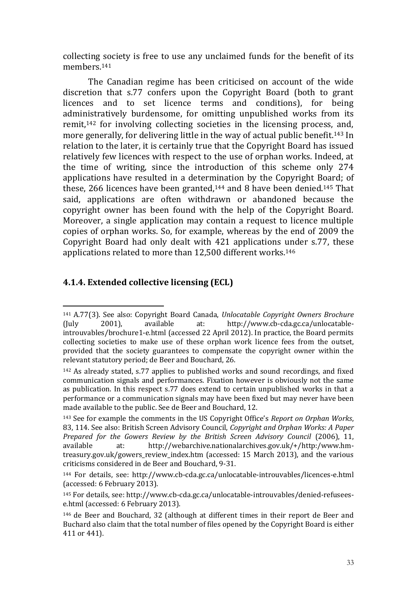collecting society is free to use any unclaimed funds for the benefit of its members.<sup>141</sup>

The Canadian regime has been criticised on account of the wide discretion that s.77 confers upon the Copyright Board (both to grant licences and to set licence terms and conditions), for being administratively burdensome, for omitting unpublished works from its remit,<sup>142</sup> for involving collecting societies in the licensing process, and, more generally, for delivering little in the way of actual public benefit.<sup>143</sup> In relation to the later, it is certainly true that the Copyright Board has issued relatively few licences with respect to the use of orphan works. Indeed, at the time of writing, since the introduction of this scheme only 274 applications have resulted in a determination by the Copyright Board; of these, 266 licences have been granted,<sup>144</sup> and 8 have been denied.<sup>145</sup> That said, applications are often withdrawn or abandoned because the copyright owner has been found with the help of the Copyright Board. Moreover, a single application may contain a request to licence multiple copies of orphan works. So, for example, whereas by the end of 2009 the Copyright Board had only dealt with 421 applications under s.77, these applications related to more than 12,500 different works.<sup>146</sup>

## **4.1.4. Extended collective licensing (ECL)**

<sup>141</sup> A.77(3). See also: Copyright Board Canada, *Unlocatable Copyright Owners Brochure* (July 2001), available at: http://www.cb-cda.gc.ca/unlocatableintrouvables/brochure1-e.html (accessed 22 April 2012). In practice, the Board permits collecting societies to make use of these orphan work licence fees from the outset, provided that the society guarantees to compensate the copyright owner within the relevant statutory period; de Beer and Bouchard, 26.

<sup>142</sup> As already stated, s.77 applies to published works and sound recordings, and fixed communication signals and performances. Fixation however is obviously not the same as publication. In this respect s.77 does extend to certain unpublished works in that a performance or a communication signals may have been fixed but may never have been made available to the public. See de Beer and Bouchard, 12.

<sup>143</sup> See for example the comments in the US Copyright Office's *Report on Orphan Works*, 83, 114. See also: British Screen Advisory Council, *Copyright and Orphan Works: A Paper Prepared for the Gowers Review by the British Screen Advisory Council* (2006), 11, available at: http://webarchive.nationalarchives.gov.uk/+/http:/www.hmtreasury.gov.uk/gowers\_review\_index.htm (accessed: 15 March 2013), and the various criticisms considered in de Beer and Bouchard, 9-31.

<sup>144</sup> For details, see: http://www.cb-cda.gc.ca/unlocatable-introuvables/licences-e.html (accessed: 6 February 2013).

<sup>145</sup> For details, see: http://www.cb-cda.gc.ca/unlocatable-introuvables/denied-refuseese.html (accessed: 6 February 2013).

<sup>146</sup> de Beer and Bouchard, 32 (although at different times in their report de Beer and Buchard also claim that the total number of files opened by the Copyright Board is either 411 or 441).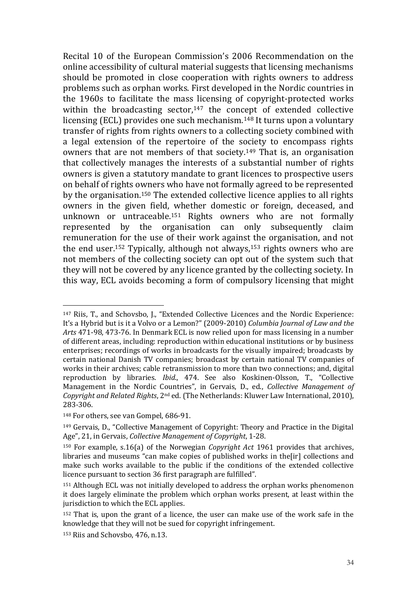Recital 10 of the European Commission's 2006 Recommendation on the online accessibility of cultural material suggests that licensing mechanisms should be promoted in close cooperation with rights owners to address problems such as orphan works. First developed in the Nordic countries in the 1960s to facilitate the mass licensing of copyright-protected works within the broadcasting sector, $147$  the concept of extended collective licensing (ECL) provides one such mechanism.<sup>148</sup> It turns upon a voluntary transfer of rights from rights owners to a collecting society combined with a legal extension of the repertoire of the society to encompass rights owners that are not members of that society.<sup>149</sup> That is, an organisation that collectively manages the interests of a substantial number of rights owners is given a statutory mandate to grant licences to prospective users on behalf of rights owners who have not formally agreed to be represented by the organisation.<sup>150</sup> The extended collective licence applies to all rights owners in the given field, whether domestic or foreign, deceased, and unknown or untraceable.<sup>151</sup> Rights owners who are not formally represented by the organisation can only subsequently claim remuneration for the use of their work against the organisation, and not the end user.<sup>152</sup> Typically, although not always,<sup>153</sup> rights owners who are not members of the collecting society can opt out of the system such that they will not be covered by any licence granted by the collecting society. In this way, ECL avoids becoming a form of compulsory licensing that might

<sup>147</sup> Riis, T., and Schovsbo, J., "Extended Collective Licences and the Nordic Experience: It's a Hybrid but is it a Volvo or a Lemon?" (2009-2010) *Columbia Journal of Law and the Arts* 471-98, 473-76. In Denmark ECL is now relied upon for mass licensing in a number of different areas, including: reproduction within educational institutions or by business enterprises; recordings of works in broadcasts for the visually impaired; broadcasts by certain national Danish TV companies; broadcast by certain national TV companies of works in their archives; cable retransmission to more than two connections; and, digital reproduction by libraries. *Ibid*., 474. See also Koskinen-Olsson, T., "Collective Management in the Nordic Countries", in Gervais, D., ed., *Collective Management of Copyright and Related Rights*, 2nd ed. (The Netherlands: Kluwer Law International, 2010), 283-306.

<sup>148</sup> For others, see van Gompel, 686-91.

<sup>149</sup> Gervais, D., "Collective Management of Copyright: Theory and Practice in the Digital Age", 21, in Gervais, *Collective Management of Copyright*, 1-28.

<sup>150</sup> For example, s.16(a) of the Norwegian *Copyright Act* 1961 provides that archives, libraries and museums "can make copies of published works in the[ir] collections and make such works available to the public if the conditions of the extended collective licence pursuant to section 36 first paragraph are fulfilled".

<sup>151</sup> Although ECL was not initially developed to address the orphan works phenomenon it does largely eliminate the problem which orphan works present, at least within the jurisdiction to which the ECL applies.

<sup>152</sup> That is, upon the grant of a licence, the user can make use of the work safe in the knowledge that they will not be sued for copyright infringement.

<sup>153</sup> Riis and Schovsbo, 476, n.13.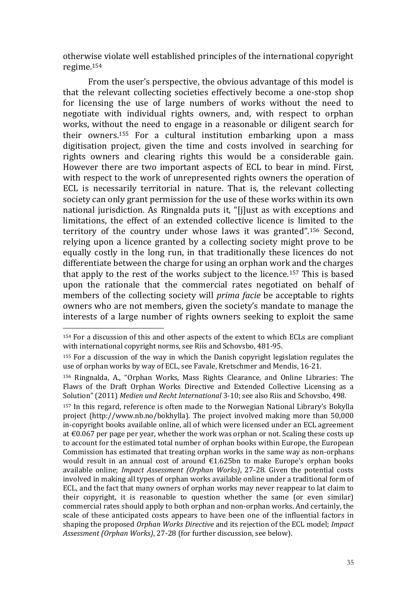otherwise violate well established principles of the international copyright regime.<sup>154</sup>

From the user's perspective, the obvious advantage of this model is that the relevant collecting societies effectively become a one-stop shop for licensing the use of large numbers of works without the need to negotiate with individual rights owners, and, with respect to orphan works, without the need to engage in a reasonable or diligent search for their owners.<sup>155</sup> For a cultural institution embarking upon a mass digitisation project, given the time and costs involved in searching for rights owners and clearing rights this would be a considerable gain. However there are two important aspects of ECL to bear in mind. First, with respect to the work of unrepresented rights owners the operation of ECL is necessarily territorial in nature. That is, the relevant collecting society can only grant permission for the use of these works within its own national jurisdiction. As Ringnalda puts it, "[j]ust as with exceptions and limitations, the effect of an extended collective licence is limited to the territory of the country under whose laws it was granted".<sup>156</sup> Second, relying upon a licence granted by a collecting society might prove to be equally costly in the long run, in that traditionally these licences do not differentiate between the charge for using an orphan work and the charges that apply to the rest of the works subject to the licence.<sup>157</sup> This is based upon the rationale that the commercial rates negotiated on behalf of members of the collecting society will *prima facie* be acceptable to rights owners who are not members, given the society's mandate to manage the interests of a large number of rights owners seeking to exploit the same

1

<sup>157</sup> In this regard, reference is often made to the Norwegian National Library's Bokylla project (http://www.nb.no/bokhylla). The project involved making more than 50,000 in-copyright books available online, all of which were licensed under an ECL agreement at €0.067 per page per year, whether the work was orphan or not. Scaling these costs up to account for the estimated total number of orphan books within Europe, the European Commission has estimated that treating orphan works in the same way as non-orphans would result in an annual cost of around €1.625bn to make Europe's orphan books available online; *Impact Assessment (Orphan Works)*, 27-28. Given the potential costs involved in making all types of orphan works available online under a traditional form of ECL, and the fact that many owners of orphan works may never reappear to lat claim to their copyright, it is reasonable to question whether the same (or even similar) commercial rates should apply to both orphan and non-orphan works. And certainly, the scale of these anticipated costs appears to have been one of the influential factors in shaping the proposed *Orphan Works Directive* and its rejection of the ECL model; *Impact Assessment (Orphan Works)*, 27-28 (for further discussion, see below).

<sup>154</sup> For a discussion of this and other aspects of the extent to which ECLs are compliant with international copyright norms, see Riis and Schovsbo, 481-95.

<sup>155</sup> For a discussion of the way in which the Danish copyright legislation regulates the use of orphan works by way of ECL, see Favale, Kretschmer and Mendis, 16-21.

<sup>156</sup> Ringnalda, A., "Orphan Works, Mass Rights Clearance, and Online Libraries: The Flaws of the Draft Orphan Works Directive and Extended Collective Licensing as a Solution" (2011) *Medien und Recht International* 3-10; see also Riis and Schovsbo, 498.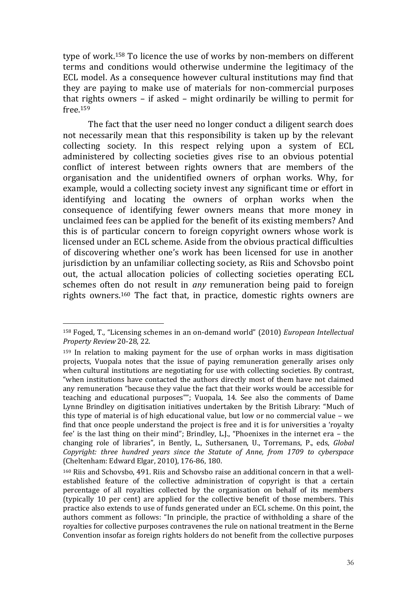type of work.<sup>158</sup> To licence the use of works by non-members on different terms and conditions would otherwise undermine the legitimacy of the ECL model. As a consequence however cultural institutions may find that they are paying to make use of materials for non-commercial purposes that rights owners – if asked – might ordinarily be willing to permit for free.<sup>159</sup>

The fact that the user need no longer conduct a diligent search does not necessarily mean that this responsibility is taken up by the relevant collecting society. In this respect relying upon a system of ECL administered by collecting societies gives rise to an obvious potential conflict of interest between rights owners that are members of the organisation and the unidentified owners of orphan works. Why, for example, would a collecting society invest any significant time or effort in identifying and locating the owners of orphan works when the consequence of identifying fewer owners means that more money in unclaimed fees can be applied for the benefit of its existing members? And this is of particular concern to foreign copyright owners whose work is licensed under an ECL scheme. Aside from the obvious practical difficulties of discovering whether one's work has been licensed for use in another jurisdiction by an unfamiliar collecting society, as Riis and Schovsbo point out, the actual allocation policies of collecting societies operating ECL schemes often do not result in *any* remuneration being paid to foreign rights owners.<sup>160</sup> The fact that, in practice, domestic rights owners are

<u>.</u>

<sup>158</sup> Foged, T., "Licensing schemes in an on-demand world" (2010) *European Intellectual Property Review* 20-28, 22.

<sup>159</sup> In relation to making payment for the use of orphan works in mass digitisation projects, Vuopala notes that the issue of paying remuneration generally arises only when cultural institutions are negotiating for use with collecting societies. By contrast, "when institutions have contacted the authors directly most of them have not claimed any remuneration "because they value the fact that their works would be accessible for teaching and educational purposes""; Vuopala, 14. See also the comments of Dame Lynne Brindley on digitisation initiatives undertaken by the British Library: "Much of this type of material is of high educational value, but low or no commercial value – we find that once people understand the project is free and it is for universities a 'royalty fee' is the last thing on their mind"; Brindley, L.J., "Phoenixes in the internet era – the changing role of libraries", in Bently, L., Suthersanen, U., Torremans, P., eds, *Global Copyright: three hundred years since the Statute of Anne, from 1709 to cyberspace*  (Cheltenham: Edward Elgar, 2010), 176-86, 180.

<sup>160</sup> Riis and Schovsbo, 491. Riis and Schovsbo raise an additional concern in that a wellestablished feature of the collective administration of copyright is that a certain percentage of all royalties collected by the organisation on behalf of its members (typically 10 per cent) are applied for the collective benefit of those members. This practice also extends to use of funds generated under an ECL scheme. On this point, the authors comment as follows: "In principle, the practice of withholding a share of the royalties for collective purposes contravenes the rule on national treatment in the Berne Convention insofar as foreign rights holders do not benefit from the collective purposes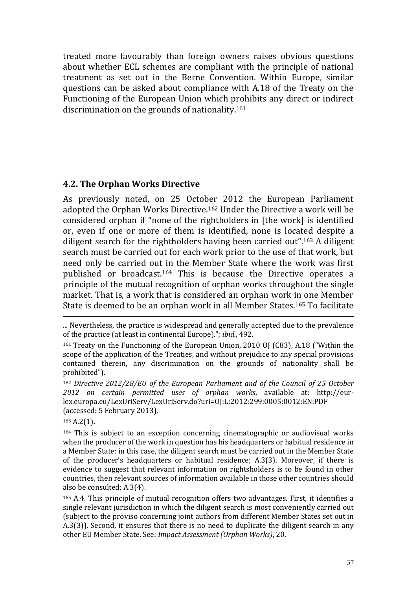treated more favourably than foreign owners raises obvious questions about whether ECL schemes are compliant with the principle of national treatment as set out in the Berne Convention. Within Europe, similar questions can be asked about compliance with A.18 of the Treaty on the Functioning of the European Union which prohibits any direct or indirect discrimination on the grounds of nationality.<sup>161</sup>

## **4.2. The Orphan Works Directive**

As previously noted, on 25 October 2012 the European Parliament adopted the Orphan Works Directive.<sup>162</sup> Under the Directive a work will be considered orphan if "none of the rightholders in [the work] is identified or, even if one or more of them is identified, none is located despite a diligent search for the rightholders having been carried out".<sup>163</sup> A diligent search must be carried out for each work prior to the use of that work, but need only be carried out in the Member State where the work was first published or broadcast.<sup>164</sup> This is because the Directive operates a principle of the mutual recognition of orphan works throughout the single market. That is, a work that is considered an orphan work in one Member State is deemed to be an orphan work in all Member States.<sup>165</sup> To facilitate

... Nevertheless, the practice is widespread and generally accepted due to the prevalence of the practice (at least in continental Europe)."; *ibid.*, 492.

<sup>161</sup> Treaty on the Functioning of the European Union, 2010 OJ (C83), A.18 ("Within the scope of the application of the Treaties, and without prejudice to any special provisions contained therein, any discrimination on the grounds of nationality shall be prohibited").

<sup>162</sup> *Directive 2012/28/EU of the European Parliament and of the Council of 25 October 2012 on certain permitted uses of orphan works*, available at: http://eurlex.europa.eu/LexUriServ/LexUriServ.do?uri=OJ:L:2012:299:0005:0012:EN:PDF (accessed: 5 February 2013).

<sup>163</sup> A.2(1).

1

<sup>164</sup> This is subject to an exception concerning cinematographic or audiovisual works when the producer of the work in question has his headquarters or habitual residence in a Member State: in this case, the diligent search must be carried out in the Member State of the producer's headquarters or habitual residence; A.3(3). Moreover, if there is evidence to suggest that relevant information on rightsholders is to be found in other countries, then relevant sources of information available in those other countries should also be consulted; A.3(4).

<sup>165</sup> A.4. This principle of mutual recognition offers two advantages. First, it identifies a single relevant jurisdiction in which the diligent search is most conveniently carried out (subject to the proviso concerning joint authors from different Member States set out in A.3(3)). Second, it ensures that there is no need to duplicate the diligent search in any other EU Member State. See: *Impact Assessment (Orphan Works)*, 20.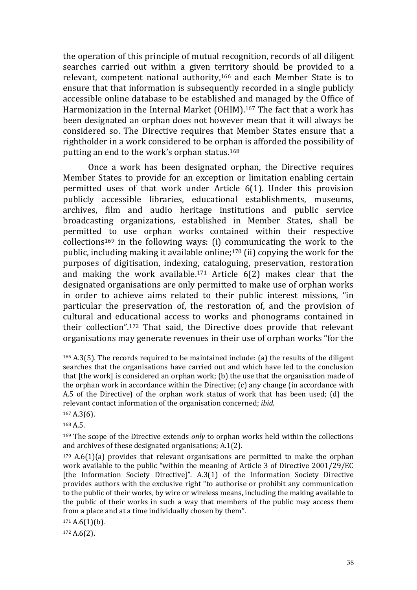the operation of this principle of mutual recognition, records of all diligent searches carried out within a given territory should be provided to a relevant, competent national authority,<sup>166</sup> and each Member State is to ensure that that information is subsequently recorded in a single publicly accessible online database to be established and managed by the Office of Harmonization in the Internal Market (OHIM). <sup>167</sup> The fact that a work has been designated an orphan does not however mean that it will always be considered so. The Directive requires that Member States ensure that a rightholder in a work considered to be orphan is afforded the possibility of putting an end to the work's orphan status.<sup>168</sup>

Once a work has been designated orphan, the Directive requires Member States to provide for an exception or limitation enabling certain permitted uses of that work under Article 6(1). Under this provision publicly accessible libraries, educational establishments, museums, archives, film and audio heritage institutions and public service broadcasting organizations, established in Member States, shall be permitted to use orphan works contained within their respective  $\text{collections}^{169}$  in the following ways: (i) communicating the work to the public, including making it available online;<sup>170</sup> (ii) copying the work for the purposes of digitisation, indexing, cataloguing, preservation, restoration and making the work available.<sup>171</sup> Article 6(2) makes clear that the designated organisations are only permitted to make use of orphan works in order to achieve aims related to their public interest missions, "in particular the preservation of, the restoration of, and the provision of cultural and educational access to works and phonograms contained in their collection".<sup>172</sup> That said, the Directive does provide that relevant organisations may generate revenues in their use of orphan works "for the

1

<sup>172</sup> A.6(2).

<sup>166</sup> A.3(5). The records required to be maintained include: (a) the results of the diligent searches that the organisations have carried out and which have led to the conclusion that [the work] is considered an orphan work; (b) the use that the organisation made of the orphan work in accordance within the Directive; (c) any change (in accordance with A.5 of the Directive) of the orphan work status of work that has been used; (d) the relevant contact information of the organisation concerned; *ibid*.

<sup>167</sup> A.3(6).

<sup>168</sup> A.5.

<sup>169</sup> The scope of the Directive extends *only* to orphan works held within the collections and archives of these designated organisations; A.1(2).

 $170$  A.6(1)(a) provides that relevant organisations are permitted to make the orphan work available to the public "within the meaning of Article 3 of Directive 2001/29/EC [the Information Society Directive]". A.3(1) of the Information Society Directive provides authors with the exclusive right "to authorise or prohibit any communication to the public of their works, by wire or wireless means, including the making available to the public of their works in such a way that members of the public may access them from a place and at a time individually chosen by them".

 $171 A.6(1)(b)$ .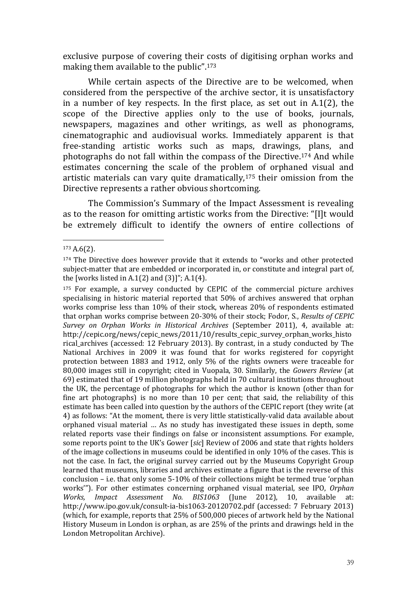exclusive purpose of covering their costs of digitising orphan works and making them available to the public".<sup>173</sup>

While certain aspects of the Directive are to be welcomed, when considered from the perspective of the archive sector, it is unsatisfactory in a number of key respects. In the first place, as set out in A.1(2), the scope of the Directive applies only to the use of books, journals, newspapers, magazines and other writings, as well as phonograms, cinematographic and audiovisual works. Immediately apparent is that free-standing artistic works such as maps, drawings, plans, and photographs do not fall within the compass of the Directive.<sup>174</sup> And while estimates concerning the scale of the problem of orphaned visual and artistic materials can vary quite dramatically,<sup>175</sup> their omission from the Directive represents a rather obvious shortcoming.

The Commission's Summary of the Impact Assessment is revealing as to the reason for omitting artistic works from the Directive: "[I]t would be extremely difficult to identify the owners of entire collections of

<sup>173</sup> A.6(2).

<sup>174</sup> The Directive does however provide that it extends to "works and other protected subject-matter that are embedded or incorporated in, or constitute and integral part of, the [works listed in A.1 $(2)$  and  $(3)$ ]"; A.1 $(4)$ .

<sup>&</sup>lt;sup>175</sup> For example, a survey conducted by CEPIC of the commercial picture archives specialising in historic material reported that 50% of archives answered that orphan works comprise less than 10% of their stock, whereas 20% of respondents estimated that orphan works comprise between 20-30% of their stock; Fodor, S., *Results of CEPIC Survey on Orphan Works in Historical Archives* (September 2011), 4, available at: http://cepic.org/news/cepic\_news/2011/10/results\_cepic\_survey\_orphan\_works\_histo rical\_archives (accessed: 12 February 2013). By contrast, in a study conducted by The National Archives in 2009 it was found that for works registered for copyright protection between 1883 and 1912, only 5% of the rights owners were traceable for 80,000 images still in copyright; cited in Vuopala, 30. Similarly, the *Gowers Review* (at 69) estimated that of 19 million photographs held in 70 cultural institutions throughout the UK, the percentage of photographs for which the author is known (other than for fine art photographs) is no more than 10 per cent; that said, the reliability of this estimate has been called into question by the authors of the CEPIC report (they write (at 4) as follows: "At the moment, there is very little statistically-valid data available about orphaned visual material … As no study has investigated these issues in depth, some related reports vase their findings on false or inconsistent assumptions. For example, some reports point to the UK's Gower [*sic*] Review of 2006 and state that rights holders of the image collections in museums could be identified in only 10% of the cases. This is not the case. In fact, the original survey carried out by the Museums Copyright Group learned that museums, libraries and archives estimate a figure that is the reverse of this conclusion – i.e. that only some 5-10% of their collections might be termed true 'orphan works'"). For other estimates concerning orphaned visual material, see IPO, *Orphan Works, Impact Assessment No. BIS1063* (June 2012), 10, available at: http://www.ipo.gov.uk/consult-ia-bis1063-20120702.pdf (accessed: 7 February 2013) (which, for example, reports that 25% of 500,000 pieces of artwork held by the National History Museum in London is orphan, as are 25% of the prints and drawings held in the London Metropolitan Archive).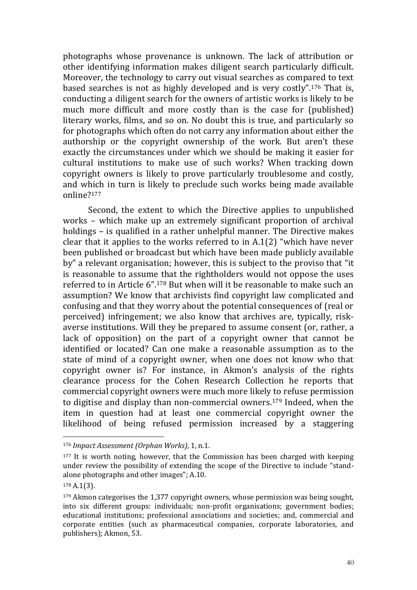photographs whose provenance is unknown. The lack of attribution or other identifying information makes diligent search particularly difficult. Moreover, the technology to carry out visual searches as compared to text based searches is not as highly developed and is very costly".<sup>176</sup> That is, conducting a diligent search for the owners of artistic works is likely to be much more difficult and more costly than is the case for (published) literary works, films, and so on. No doubt this is true, and particularly so for photographs which often do not carry any information about either the authorship or the copyright ownership of the work. But aren't these exactly the circumstances under which we should be making it easier for cultural institutions to make use of such works? When tracking down copyright owners is likely to prove particularly troublesome and costly, and which in turn is likely to preclude such works being made available online?<sup>177</sup>

Second, the extent to which the Directive applies to unpublished works – which make up an extremely significant proportion of archival holdings – is qualified in a rather unhelpful manner. The Directive makes clear that it applies to the works referred to in A.1(2) "which have never been published or broadcast but which have been made publicly available by" a relevant organisation; however, this is subject to the proviso that "it is reasonable to assume that the rightholders would not oppose the uses referred to in Article 6".<sup>178</sup> But when will it be reasonable to make such an assumption? We know that archivists find copyright law complicated and confusing and that they worry about the potential consequences of (real or perceived) infringement; we also know that archives are, typically, riskaverse institutions. Will they be prepared to assume consent (or, rather, a lack of opposition) on the part of a copyright owner that cannot be identified or located? Can one make a reasonable assumption as to the state of mind of a copyright owner, when one does not know who that copyright owner is? For instance, in Akmon's analysis of the rights clearance process for the Cohen Research Collection he reports that commercial copyright owners were much more likely to refuse permission to digitise and display than non-commercial owners.<sup>179</sup> Indeed, when the item in question had at least one commercial copyright owner the likelihood of being refused permission increased by a staggering

<sup>176</sup> *Impact Assessment (Orphan Works)*, 1, n.1.

<sup>177</sup> It is worth noting, however, that the Commission has been charged with keeping under review the possibility of extending the scope of the Directive to include "standalone photographs and other images"; A.10.

<sup>178</sup> A.1(3).

<sup>179</sup> Akmon categorises the 1,377 copyright owners, whose permission was being sought, into six different groups: individuals; non-profit organisations; government bodies; educational institutions; professional associations and societies; and, commercial and corporate entities (such as pharmaceutical companies, corporate laboratories, and publishers); Akmon, 53.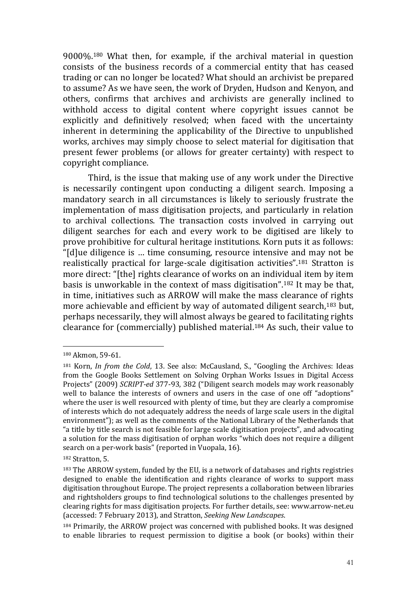9000%.<sup>180</sup> What then, for example, if the archival material in question consists of the business records of a commercial entity that has ceased trading or can no longer be located? What should an archivist be prepared to assume? As we have seen, the work of Dryden, Hudson and Kenyon, and others, confirms that archives and archivists are generally inclined to withhold access to digital content where copyright issues cannot be explicitly and definitively resolved; when faced with the uncertainty inherent in determining the applicability of the Directive to unpublished works, archives may simply choose to select material for digitisation that present fewer problems (or allows for greater certainty) with respect to copyright compliance.

Third, is the issue that making use of any work under the Directive is necessarily contingent upon conducting a diligent search. Imposing a mandatory search in all circumstances is likely to seriously frustrate the implementation of mass digitisation projects, and particularly in relation to archival collections. The transaction costs involved in carrying out diligent searches for each and every work to be digitised are likely to prove prohibitive for cultural heritage institutions. Korn puts it as follows: "[d]ue diligence is … time consuming, resource intensive and may not be realistically practical for large-scale digitisation activities".<sup>181</sup> Stratton is more direct: "[the] rights clearance of works on an individual item by item basis is unworkable in the context of mass digitisation".<sup>182</sup> It may be that, in time, initiatives such as ARROW will make the mass clearance of rights more achievable and efficient by way of automated diligent search,<sup>183</sup> but, perhaps necessarily, they will almost always be geared to facilitating rights clearance for (commercially) published material.<sup>184</sup> As such, their value to

<sup>180</sup> Akmon, 59-61.

<sup>181</sup> Korn, *In from the Cold*, 13. See also: McCausland, S., "Googling the Archives: Ideas from the Google Books Settlement on Solving Orphan Works Issues in Digital Access Projects" (2009) *SCRIPT-ed* 377-93, 382 ("Diligent search models may work reasonably well to balance the interests of owners and users in the case of one off "adoptions" where the user is well resourced with plenty of time, but they are clearly a compromise of interests which do not adequately address the needs of large scale users in the digital environment"); as well as the comments of the National Library of the Netherlands that "a title by title search is not feasible for large scale digitisation projects", and advocating a solution for the mass digitisation of orphan works "which does not require a diligent search on a per-work basis" (reported in Vuopala, 16).

<sup>182</sup> Stratton, 5.

<sup>183</sup> The ARROW system, funded by the EU, is a network of databases and rights registries designed to enable the identification and rights clearance of works to support mass digitisation throughout Europe. The project represents a collaboration between libraries and rightsholders groups to find technological solutions to the challenges presented by clearing rights for mass digitisation projects. For further details, see: www.arrow-net.eu (accessed: 7 February 2013), and Stratton, *Seeking New Landscapes*.

<sup>184</sup> Primarily, the ARROW project was concerned with published books. It was designed to enable libraries to request permission to digitise a book (or books) within their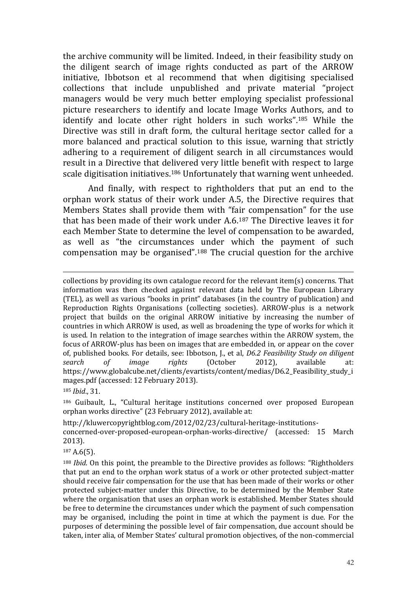the archive community will be limited. Indeed, in their feasibility study on the diligent search of image rights conducted as part of the ARROW initiative, Ibbotson et al recommend that when digitising specialised collections that include unpublished and private material "project managers would be very much better employing specialist professional picture researchers to identify and locate Image Works Authors, and to identify and locate other right holders in such works".<sup>185</sup> While the Directive was still in draft form, the cultural heritage sector called for a more balanced and practical solution to this issue, warning that strictly adhering to a requirement of diligent search in all circumstances would result in a Directive that delivered very little benefit with respect to large scale digitisation initiatives.<sup>186</sup> Unfortunately that warning went unheeded.

And finally, with respect to rightholders that put an end to the orphan work status of their work under A.5, the Directive requires that Members States shall provide them with "fair compensation" for the use that has been made of their work under A.6.<sup>187</sup> The Directive leaves it for each Member State to determine the level of compensation to be awarded, as well as "the circumstances under which the payment of such compensation may be organised".<sup>188</sup> The crucial question for the archive

<sup>185</sup> *Ibid*., 31.

<u>.</u>

<sup>186</sup> Guibault, L., "Cultural heritage institutions concerned over proposed European orphan works directive" (23 February 2012), available at:

http://kluwercopyrightblog.com/2012/02/23/cultural-heritage-institutions-

concerned-over-proposed-european-orphan-works-directive/ (accessed: 15 March 2013).

<sup>187</sup> A.6(5).

collections by providing its own catalogue record for the relevant item(s) concerns. That information was then checked against relevant data held by The European Library (TEL), as well as various "books in print" databases (in the country of publication) and Reproduction Rights Organisations (collecting societies). ARROW-plus is a network project that builds on the original ARROW initiative by increasing the number of countries in which ARROW is used, as well as broadening the type of works for which it is used. In relation to the integration of image searches within the ARROW system, the focus of ARROW-plus has been on images that are embedded in, or appear on the cover of, published books. For details, see: Ibbotson, J., et al, *D6.2 Feasibility Study on diligent search of image rights* (October 2012), available at: https://www.globalcube.net/clients/evartists/content/medias/D6.2\_Feasibility\_study\_i mages.pdf (accessed: 12 February 2013).

<sup>188</sup> *Ibid*. On this point, the preamble to the Directive provides as follows: "Rightholders that put an end to the orphan work status of a work or other protected subject-matter should receive fair compensation for the use that has been made of their works or other protected subject-matter under this Directive, to be determined by the Member State where the organisation that uses an orphan work is established. Member States should be free to determine the circumstances under which the payment of such compensation may be organised, including the point in time at which the payment is due. For the purposes of determining the possible level of fair compensation, due account should be taken, inter alia, of Member States' cultural promotion objectives, of the non-commercial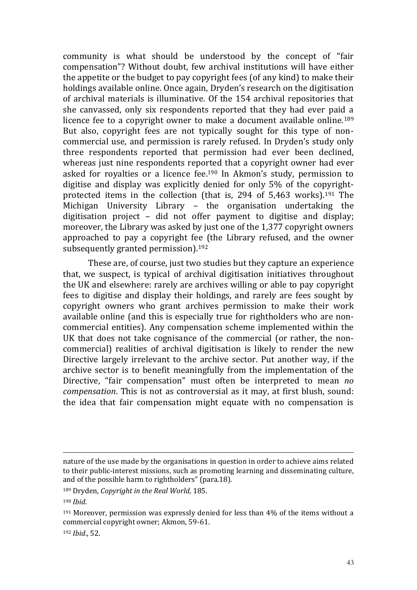community is what should be understood by the concept of "fair compensation"? Without doubt, few archival institutions will have either the appetite or the budget to pay copyright fees (of any kind) to make their holdings available online. Once again, Dryden's research on the digitisation of archival materials is illuminative. Of the 154 archival repositories that she canvassed, only six respondents reported that they had ever paid a licence fee to a copyright owner to make a document available online.<sup>189</sup> But also, copyright fees are not typically sought for this type of noncommercial use, and permission is rarely refused. In Dryden's study only three respondents reported that permission had ever been declined, whereas just nine respondents reported that a copyright owner had ever asked for royalties or a licence fee. <sup>190</sup> In Akmon's study, permission to digitise and display was explicitly denied for only 5% of the copyrightprotected items in the collection (that is, 294 of 5,463 works). <sup>191</sup> The Michigan University Library – the organisation undertaking the digitisation project – did not offer payment to digitise and display; moreover, the Library was asked by just one of the 1,377 copyright owners approached to pay a copyright fee (the Library refused, and the owner subsequently granted permission).<sup>192</sup>

These are, of course, just two studies but they capture an experience that, we suspect, is typical of archival digitisation initiatives throughout the UK and elsewhere: rarely are archives willing or able to pay copyright fees to digitise and display their holdings, and rarely are fees sought by copyright owners who grant archives permission to make their work available online (and this is especially true for rightholders who are noncommercial entities). Any compensation scheme implemented within the UK that does not take cognisance of the commercial (or rather, the noncommercial) realities of archival digitisation is likely to render the new Directive largely irrelevant to the archive sector. Put another way, if the archive sector is to benefit meaningfully from the implementation of the Directive, "fair compensation" must often be interpreted to mean *no compensation*. This is not as controversial as it may, at first blush, sound: the idea that fair compensation might equate with no compensation is

<u>.</u>

nature of the use made by the organisations in question in order to achieve aims related to their public-interest missions, such as promoting learning and disseminating culture, and of the possible harm to rightholders" (para.18).

<sup>189</sup> Dryden, *Copyright in the Real World*, 185.

<sup>190</sup> *Ibid*.

 $191$  Moreover, permission was expressly denied for less than  $4\%$  of the items without a commercial copyright owner; Akmon, 59-61.

<sup>192</sup> *Ibid*., 52.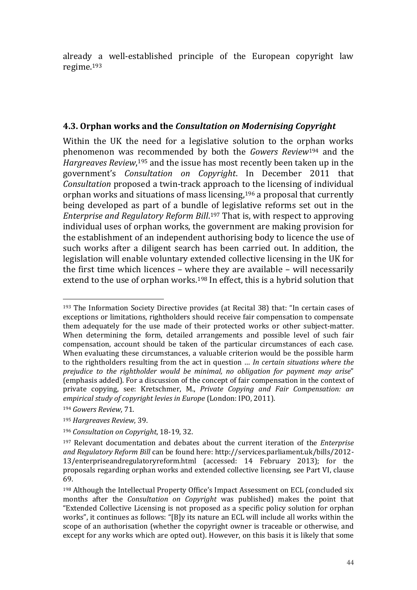already a well-established principle of the European copyright law regime.<sup>193</sup>

#### **4.3. Orphan works and the** *Consultation on Modernising Copyright*

Within the UK the need for a legislative solution to the orphan works phenomenon was recommended by both the *Gowers Review*<sup>194</sup> and the *Hargreaves Review*, <sup>195</sup> and the issue has most recently been taken up in the government's *Consultation on Copyright*. In December 2011 that *Consultation* proposed a twin-track approach to the licensing of individual orphan works and situations of mass licensing, <sup>196</sup> a proposal that currently being developed as part of a bundle of legislative reforms set out in the *Enterprise and Regulatory Reform Bill*. <sup>197</sup> That is, with respect to approving individual uses of orphan works, the government are making provision for the establishment of an independent authorising body to licence the use of such works after a diligent search has been carried out. In addition, the legislation will enable voluntary extended collective licensing in the UK for the first time which licences – where they are available – will necessarily extend to the use of orphan works.<sup>198</sup> In effect, this is a hybrid solution that

<u>.</u>

<sup>193</sup> The Information Society Directive provides (at Recital 38) that: "In certain cases of exceptions or limitations, rightholders should receive fair compensation to compensate them adequately for the use made of their protected works or other subject-matter. When determining the form, detailed arrangements and possible level of such fair compensation, account should be taken of the particular circumstances of each case. When evaluating these circumstances, a valuable criterion would be the possible harm to the rightholders resulting from the act in question … *In certain situations where the prejudice to the rightholder would be minimal, no obligation for payment may arise*" (emphasis added). For a discussion of the concept of fair compensation in the context of private copying, see: Kretschmer, M., *Private Copying and Fair Compensation: an empirical study of copyright levies in Europe* (London: IPO, 2011).

<sup>194</sup> *Gowers Review*, 71.

<sup>195</sup> *Hargreaves Review*, 39.

<sup>196</sup> *Consultation on Copyright*, 18-19, 32.

<sup>197</sup> Relevant documentation and debates about the current iteration of the *Enterprise and Regulatory Reform Bill* can be found here: http://services.parliament.uk/bills/2012- 13/enterpriseandregulatoryreform.html (accessed: 14 February 2013); for the proposals regarding orphan works and extended collective licensing, see Part VI, clause 69.

<sup>198</sup> Although the Intellectual Property Office's Impact Assessment on ECL (concluded six months after the *Consultation on Copyright* was published) makes the point that "Extended Collective Licensing is not proposed as a specific policy solution for orphan works", it continues as follows: "[B]y its nature an ECL will include all works within the scope of an authorisation (whether the copyright owner is traceable or otherwise, and except for any works which are opted out). However, on this basis it is likely that some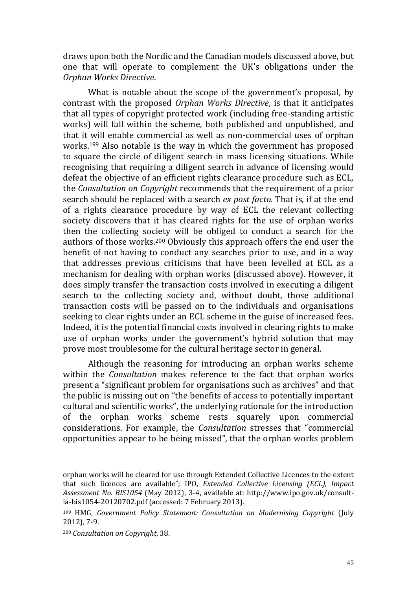draws upon both the Nordic and the Canadian models discussed above, but one that will operate to complement the UK's obligations under the *Orphan Works Directive*.

What is notable about the scope of the government's proposal, by contrast with the proposed *Orphan Works Directive*, is that it anticipates that all types of copyright protected work (including free-standing artistic works) will fall within the scheme, both published and unpublished, and that it will enable commercial as well as non-commercial uses of orphan works. <sup>199</sup> Also notable is the way in which the government has proposed to square the circle of diligent search in mass licensing situations. While recognising that requiring a diligent search in advance of licensing would defeat the objective of an efficient rights clearance procedure such as ECL, the *Consultation on Copyright* recommends that the requirement of a prior search should be replaced with a search *ex post facto*. That is, if at the end of a rights clearance procedure by way of ECL the relevant collecting society discovers that it has cleared rights for the use of orphan works then the collecting society will be obliged to conduct a search for the authors of those works.<sup>200</sup> Obviously this approach offers the end user the benefit of not having to conduct any searches prior to use, and in a way that addresses previous criticisms that have been levelled at ECL as a mechanism for dealing with orphan works (discussed above). However, it does simply transfer the transaction costs involved in executing a diligent search to the collecting society and, without doubt, those additional transaction costs will be passed on to the individuals and organisations seeking to clear rights under an ECL scheme in the guise of increased fees. Indeed, it is the potential financial costs involved in clearing rights to make use of orphan works under the government's hybrid solution that may prove most troublesome for the cultural heritage sector in general.

Although the reasoning for introducing an orphan works scheme within the *Consultation* makes reference to the fact that orphan works present a "significant problem for organisations such as archives" and that the public is missing out on "the benefits of access to potentially important cultural and scientific works", the underlying rationale for the introduction of the orphan works scheme rests squarely upon commercial considerations. For example, the *Consultation* stresses that "commercial opportunities appear to be being missed", that the orphan works problem

orphan works will be cleared for use through Extended Collective Licences to the extent that such licences are available"; IPO, *Extended Collective Licensing (ECL), Impact Assessment No. BIS1054* (May 2012), 3-4, available at: http://www.ipo.gov.uk/consultia-bis1054-20120702.pdf (accessed: 7 February 2013).

<sup>199</sup> HMG, *Government Policy Statement: Consultation on Modernising Copyright* (July 2012), 7-9.

<sup>200</sup> *Consultation on Copyright*, 38.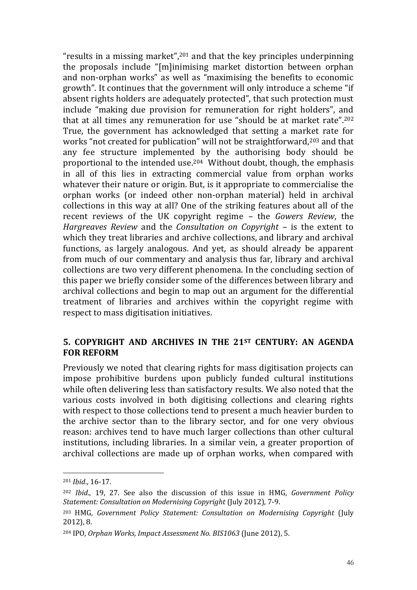"results in a missing market",<sup>201</sup> and that the key principles underpinning the proposals include "[m]inimising market distortion between orphan and non-orphan works" as well as "maximising the benefits to economic growth". It continues that the government will only introduce a scheme "if absent rights holders are adequately protected", that such protection must include "making due provision for remuneration for right holders", and that at all times any remuneration for use "should be at market rate".<sup>202</sup> True, the government has acknowledged that setting a market rate for works "not created for publication" will not be straightforward,<sup>203</sup> and that any fee structure implemented by the authorising body should be proportional to the intended use. <sup>204</sup> Without doubt, though, the emphasis in all of this lies in extracting commercial value from orphan works whatever their nature or origin. But, is it appropriate to commercialise the orphan works (or indeed other non-orphan material) held in archival collections in this way at all? One of the striking features about all of the recent reviews of the UK copyright regime – the *Gowers Review*, the *Hargreaves Review* and the *Consultation on Copyright* – is the extent to which they treat libraries and archive collections, and library and archival functions, as largely analogous. And yet, as should already be apparent from much of our commentary and analysis thus far, library and archival collections are two very different phenomena. In the concluding section of this paper we briefly consider some of the differences between library and archival collections and begin to map out an argument for the differential treatment of libraries and archives within the copyright regime with respect to mass digitisation initiatives.

#### **5. COPYRIGHT AND ARCHIVES IN THE 21ST CENTURY: AN AGENDA FOR REFORM**

Previously we noted that clearing rights for mass digitisation projects can impose prohibitive burdens upon publicly funded cultural institutions while often delivering less than satisfactory results. We also noted that the various costs involved in both digitising collections and clearing rights with respect to those collections tend to present a much heavier burden to the archive sector than to the library sector, and for one very obvious reason: archives tend to have much larger collections than other cultural institutions, including libraries. In a similar vein, a greater proportion of archival collections are made up of orphan works, when compared with

<sup>201</sup> *Ibid*., 16-17.

<sup>202</sup> *Ibid*., 19, 27. See also the discussion of this issue in HMG, *Government Policy Statement: Consultation on Modernising Copyright* (July 2012), 7-9.

<sup>203</sup> HMG, *Government Policy Statement: Consultation on Modernising Copyright* (July 2012), 8.

<sup>204</sup> IPO, *Orphan Works, Impact Assessment No. BIS1063* (June 2012), 5.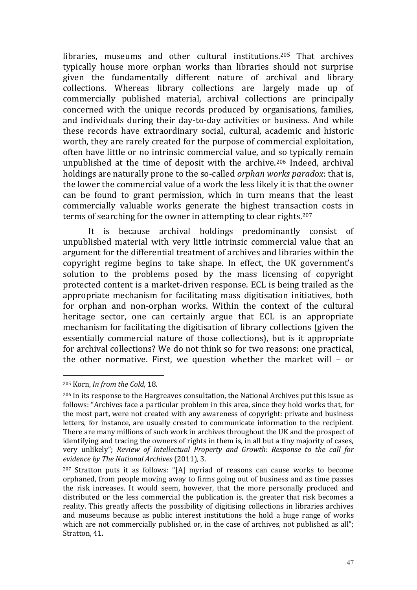libraries, museums and other cultural institutions.<sup>205</sup> That archives typically house more orphan works than libraries should not surprise given the fundamentally different nature of archival and library collections. Whereas library collections are largely made up of commercially published material, archival collections are principally concerned with the unique records produced by organisations, families, and individuals during their day-to-day activities or business. And while these records have extraordinary social, cultural, academic and historic worth, they are rarely created for the purpose of commercial exploitation, often have little or no intrinsic commercial value, and so typically remain unpublished at the time of deposit with the archive.<sup>206</sup> Indeed, archival holdings are naturally prone to the so-called *orphan works paradox*: that is, the lower the commercial value of a work the less likely it is that the owner can be found to grant permission, which in turn means that the least commercially valuable works generate the highest transaction costs in terms of searching for the owner in attempting to clear rights.<sup>207</sup>

It is because archival holdings predominantly consist of unpublished material with very little intrinsic commercial value that an argument for the differential treatment of archives and libraries within the copyright regime begins to take shape. In effect, the UK government's solution to the problems posed by the mass licensing of copyright protected content is a market-driven response. ECL is being trailed as the appropriate mechanism for facilitating mass digitisation initiatives, both for orphan and non-orphan works. Within the context of the cultural heritage sector, one can certainly argue that ECL is an appropriate mechanism for facilitating the digitisation of library collections (given the essentially commercial nature of those collections), but is it appropriate for archival collections? We do not think so for two reasons: one practical, the other normative. First, we question whether the market will – or

<sup>205</sup> Korn, *In from the Cold*, 18.

<sup>206</sup> In its response to the Hargreaves consultation, the National Archives put this issue as follows: "Archives face a particular problem in this area, since they hold works that, for the most part, were not created with any awareness of copyright: private and business letters, for instance, are usually created to communicate information to the recipient. There are many millions of such work in archives throughout the UK and the prospect of identifying and tracing the owners of rights in them is, in all but a tiny majority of cases, very unlikely"; *Review of Intellectual Property and Growth: Response to the call for evidence by The National Archives* (2011), 3.

<sup>207</sup> Stratton puts it as follows: "[A] myriad of reasons can cause works to become orphaned, from people moving away to firms going out of business and as time passes the risk increases. It would seem, however, that the more personally produced and distributed or the less commercial the publication is, the greater that risk becomes a reality. This greatly affects the possibility of digitising collections in libraries archives and museums because as public interest institutions the hold a huge range of works which are not commercially published or, in the case of archives, not published as all"; Stratton, 41.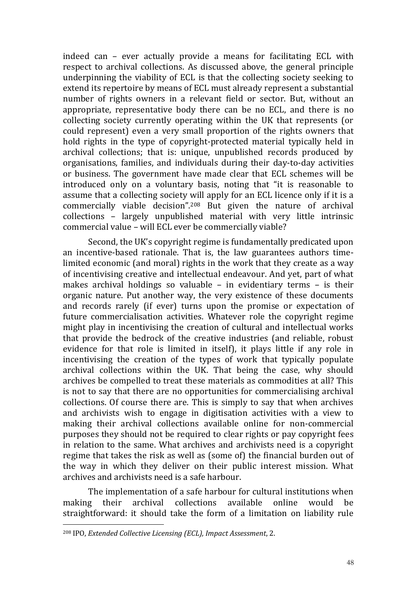indeed can – ever actually provide a means for facilitating ECL with respect to archival collections. As discussed above, the general principle underpinning the viability of ECL is that the collecting society seeking to extend its repertoire by means of ECL must already represent a substantial number of rights owners in a relevant field or sector. But, without an appropriate, representative body there can be no ECL, and there is no collecting society currently operating within the UK that represents (or could represent) even a very small proportion of the rights owners that hold rights in the type of copyright-protected material typically held in archival collections; that is: unique, unpublished records produced by organisations, families, and individuals during their day-to-day activities or business. The government have made clear that ECL schemes will be introduced only on a voluntary basis, noting that "it is reasonable to assume that a collecting society will apply for an ECL licence only if it is a commercially viable decision".<sup>208</sup> But given the nature of archival collections – largely unpublished material with very little intrinsic commercial value – will ECL ever be commercially viable?

Second, the UK's copyright regime is fundamentally predicated upon an incentive-based rationale. That is, the law guarantees authors timelimited economic (and moral) rights in the work that they create as a way of incentivising creative and intellectual endeavour. And yet, part of what makes archival holdings so valuable – in evidentiary terms – is their organic nature. Put another way, the very existence of these documents and records rarely (if ever) turns upon the promise or expectation of future commercialisation activities. Whatever role the copyright regime might play in incentivising the creation of cultural and intellectual works that provide the bedrock of the creative industries (and reliable, robust evidence for that role is limited in itself), it plays little if any role in incentivising the creation of the types of work that typically populate archival collections within the UK. That being the case, why should archives be compelled to treat these materials as commodities at all? This is not to say that there are no opportunities for commercialising archival collections. Of course there are. This is simply to say that when archives and archivists wish to engage in digitisation activities with a view to making their archival collections available online for non-commercial purposes they should not be required to clear rights or pay copyright fees in relation to the same. What archives and archivists need is a copyright regime that takes the risk as well as (some of) the financial burden out of the way in which they deliver on their public interest mission. What archives and archivists need is a safe harbour.

The implementation of a safe harbour for cultural institutions when making their archival collections available online would be straightforward: it should take the form of a limitation on liability rule

<sup>208</sup> IPO, *Extended Collective Licensing (ECL), Impact Assessment*, 2.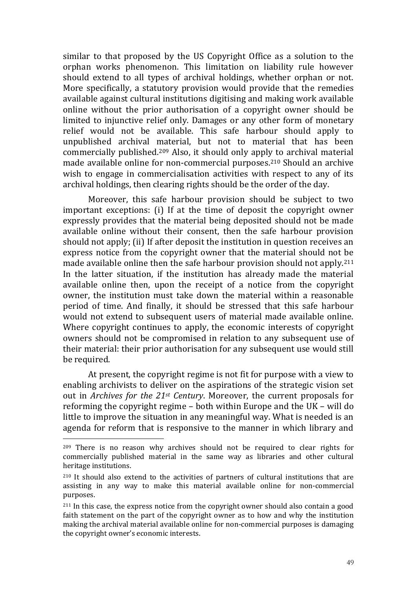similar to that proposed by the US Copyright Office as a solution to the orphan works phenomenon. This limitation on liability rule however should extend to all types of archival holdings, whether orphan or not. More specifically, a statutory provision would provide that the remedies available against cultural institutions digitising and making work available online without the prior authorisation of a copyright owner should be limited to injunctive relief only. Damages or any other form of monetary relief would not be available. This safe harbour should apply to unpublished archival material, but not to material that has been commercially published.<sup>209</sup> Also, it should only apply to archival material made available online for non-commercial purposes.<sup>210</sup> Should an archive wish to engage in commercialisation activities with respect to any of its archival holdings, then clearing rights should be the order of the day.

Moreover, this safe harbour provision should be subject to two important exceptions: (i) If at the time of deposit the copyright owner expressly provides that the material being deposited should not be made available online without their consent, then the safe harbour provision should not apply; (ii) If after deposit the institution in question receives an express notice from the copyright owner that the material should not be made available online then the safe harbour provision should not apply.<sup>211</sup> In the latter situation, if the institution has already made the material available online then, upon the receipt of a notice from the copyright owner, the institution must take down the material within a reasonable period of time. And finally, it should be stressed that this safe harbour would not extend to subsequent users of material made available online. Where copyright continues to apply, the economic interests of copyright owners should not be compromised in relation to any subsequent use of their material: their prior authorisation for any subsequent use would still be required.

At present, the copyright regime is not fit for purpose with a view to enabling archivists to deliver on the aspirations of the strategic vision set out in *Archives for the 21st Century*. Moreover, the current proposals for reforming the copyright regime – both within Europe and the UK – will do little to improve the situation in any meaningful way. What is needed is an agenda for reform that is responsive to the manner in which library and

<sup>209</sup> There is no reason why archives should not be required to clear rights for commercially published material in the same way as libraries and other cultural heritage institutions.

<sup>210</sup> It should also extend to the activities of partners of cultural institutions that are assisting in any way to make this material available online for non-commercial purposes.

<sup>211</sup> In this case, the express notice from the copyright owner should also contain a good faith statement on the part of the copyright owner as to how and why the institution making the archival material available online for non-commercial purposes is damaging the copyright owner's economic interests.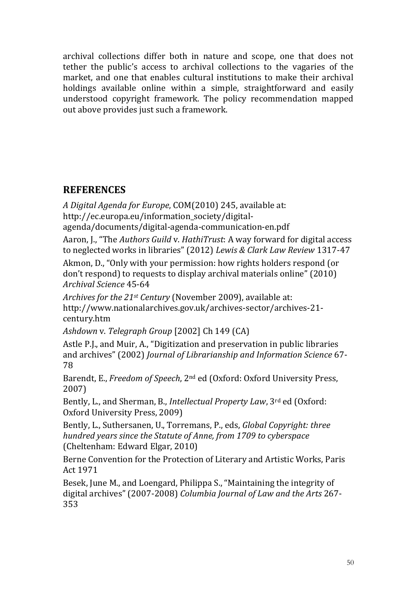archival collections differ both in nature and scope, one that does not tether the public's access to archival collections to the vagaries of the market, and one that enables cultural institutions to make their archival holdings available online within a simple, straightforward and easily understood copyright framework. The policy recommendation mapped out above provides just such a framework.

## **REFERENCES**

*A Digital Agenda for Europe*, COM(2010) 245, available at: http://ec.europa.eu/information\_society/digital-

agenda/documents/digital-agenda-communication-en.pdf

Aaron, J., "The *Authors Guild* v. *HathiTrust*: A way forward for digital access to neglected works in libraries" (2012) *Lewis & Clark Law Review* 1317-47

Akmon, D., "Only with your permission: how rights holders respond (or don't respond) to requests to display archival materials online" (2010) *Archival Science* 45-64

*Archives for the 21st Century* (November 2009), available at: http://www.nationalarchives.gov.uk/archives-sector/archives-21 century.htm

*Ashdown* v. *Telegraph Group* [2002] Ch 149 (CA)

Astle P.J., and Muir, A., "Digitization and preservation in public libraries and archives" (2002) *Journal of Librarianship and Information Science* 67- 78

Barendt, E., *Freedom of Speech*, 2nd ed (Oxford: Oxford University Press, 2007)

Bently, L., and Sherman, B., *Intellectual Property Law*, 3rd ed (Oxford: Oxford University Press, 2009)

Bently, L., Suthersanen, U., Torremans, P., eds, *Global Copyright: three hundred years since the Statute of Anne, from 1709 to cyberspace*  (Cheltenham: Edward Elgar, 2010)

Berne Convention for the Protection of Literary and Artistic Works, Paris Act 1971

Besek, June M., and Loengard, Philippa S., "Maintaining the integrity of digital archives" (2007-2008) *Columbia Journal of Law and the Arts* 267- 353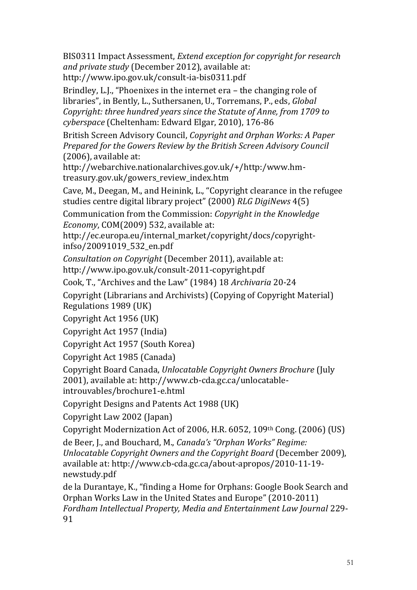BIS0311 Impact Assessment, *Extend exception for copyright for research and private study* (December 2012), available at: http://www.ipo.gov.uk/consult-ia-bis0311.pdf

Brindley, L.J., "Phoenixes in the internet era – the changing role of libraries", in Bently, L., Suthersanen, U., Torremans, P., eds, *Global Copyright: three hundred years since the Statute of Anne, from 1709 to cyberspace* (Cheltenham: Edward Elgar, 2010), 176-86

British Screen Advisory Council, *Copyright and Orphan Works: A Paper Prepared for the Gowers Review by the British Screen Advisory Council* (2006), available at:

http://webarchive.nationalarchives.gov.uk/+/http:/www.hmtreasury.gov.uk/gowers\_review\_index.htm

Cave, M., Deegan, M., and Heinink, L., "Copyright clearance in the refugee studies centre digital library project" (2000) *RLG DigiNews* 4(5)

Communication from the Commission: *Copyright in the Knowledge Economy*, COM(2009) 532, available at:

http://ec.europa.eu/internal\_market/copyright/docs/copyrightinfso/20091019\_532\_en.pdf

*Consultation on Copyright* (December 2011), available at: http://www.ipo.gov.uk/consult-2011-copyright.pdf

Cook, T., "Archives and the Law" (1984) 18 *Archivaria* 20-24

Copyright (Librarians and Archivists) (Copying of Copyright Material) Regulations 1989 (UK)

Copyright Act 1956 (UK)

Copyright Act 1957 (India)

Copyright Act 1957 (South Korea)

Copyright Act 1985 (Canada)

Copyright Board Canada, *Unlocatable Copyright Owners Brochure* (July 2001), available at: http://www.cb-cda.gc.ca/unlocatable-

introuvables/brochure1-e.html

Copyright Designs and Patents Act 1988 (UK)

Copyright Law 2002 (Japan)

Copyright Modernization Act of 2006, H.R. 6052, 109th Cong. (2006) (US)

de Beer, J., and Bouchard, M., *Canada's "Orphan Works" Regime: Unlocatable Copyright Owners and the Copyright Board* (December 2009), available at: http://www.cb-cda.gc.ca/about-apropos/2010-11-19 newstudy.pdf

de la Durantaye, K., "finding a Home for Orphans: Google Book Search and Orphan Works Law in the United States and Europe" (2010-2011) *Fordham Intellectual Property, Media and Entertainment Law Journal* 229- 91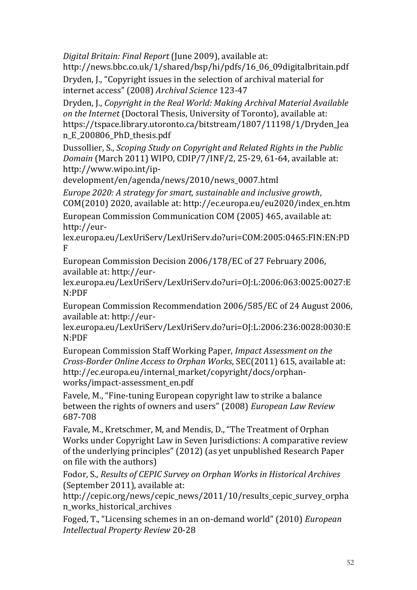*Digital Britain: Final Report* (June 2009), available at:

http://news.bbc.co.uk/1/shared/bsp/hi/pdfs/16\_06\_09digitalbritain.pdf Dryden, J., "Copyright issues in the selection of archival material for internet access" (2008) *Archival Science* 123-47

Dryden, J., *Copyright in the Real World: Making Archival Material Available on the Internet* (Doctoral Thesis, University of Toronto), available at: https://tspace.library.utoronto.ca/bitstream/1807/11198/1/Dryden\_Jea n\_E\_200806\_PhD\_thesis.pdf

Dussollier, S., *Scoping Study on Copyright and Related Rights in the Public Domain* (March 2011) WIPO, CDIP/7/INF/2, 25-29, 61-64, available at: http://www.wipo.int/ip-

development/en/agenda/news/2010/news\_0007.html

*Europe 2020: A strategy for smart, sustainable and inclusive growth*, COM(2010) 2020, available at: http://ec.europa.eu/eu2020/index\_en.htm European Commission Communication COM (2005) 465, available at: http://eur-

lex.europa.eu/LexUriServ/LexUriServ.do?uri=COM:2005:0465:FIN:EN:PD F

European Commission Decision 2006/178/EC of 27 February 2006, available at: http://eur-

lex.europa.eu/LexUriServ/LexUriServ.do?uri=OJ:L:2006:063:0025:0027:E N:PDF

European Commission Recommendation 2006/585/EC of 24 August 2006, available at: http://eur-

lex.europa.eu/LexUriServ/LexUriServ.do?uri=OJ:L:2006:236:0028:0030:E N:PDF

European Commission Staff Working Paper, *Impact Assessment on the Cross-Border Online Access to Orphan Works*, SEC(2011) 615, available at: http://ec.europa.eu/internal\_market/copyright/docs/orphanworks/impact-assessment\_en.pdf

Favele, M., "Fine-tuning European copyright law to strike a balance between the rights of owners and users" (2008) *European Law Review* 687-708

Favale, M., Kretschmer, M, and Mendis, D., "The Treatment of Orphan Works under Copyright Law in Seven Jurisdictions: A comparative review of the underlying principles" (2012) (as yet unpublished Research Paper on file with the authors)

Fodor, S., *Results of CEPIC Survey on Orphan Works in Historical Archives* (September 2011), available at:

http://cepic.org/news/cepic\_news/2011/10/results\_cepic\_survey\_orpha n\_works\_historical\_archives

Foged, T., "Licensing schemes in an on-demand world" (2010) *European Intellectual Property Review* 20-28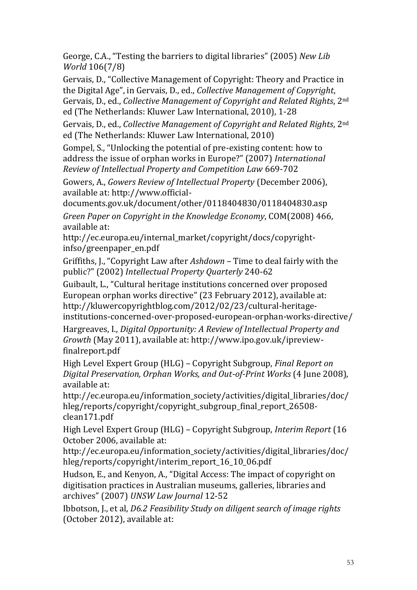George, C.A., "Testing the barriers to digital libraries" (2005) *New Lib World* 106(7/8)

Gervais, D., "Collective Management of Copyright: Theory and Practice in the Digital Age", in Gervais, D., ed., *Collective Management of Copyright*, Gervais, D., ed., *Collective Management of Copyright and Related Rights*, 2nd ed (The Netherlands: Kluwer Law International, 2010), 1-28

Gervais, D., ed., *Collective Management of Copyright and Related Rights*, 2nd ed (The Netherlands: Kluwer Law International, 2010)

Gompel, S., "Unlocking the potential of pre-existing content: how to address the issue of orphan works in Europe?" (2007) *International Review of Intellectual Property and Competition Law* 669-702

Gowers, A., *Gowers Review of Intellectual Property* (December 2006), available at: http://www.official-

documents.gov.uk/document/other/0118404830/0118404830.asp *Green Paper on Copyright in the Knowledge Economy*, COM(2008) 466, available at:

http://ec.europa.eu/internal\_market/copyright/docs/copyrightinfso/greenpaper\_en.pdf

Griffiths, J., "Copyright Law after *Ashdown* – Time to deal fairly with the public?" (2002) *Intellectual Property Quarterly* 240-62

Guibault, L., "Cultural heritage institutions concerned over proposed European orphan works directive" (23 February 2012), available at: http://kluwercopyrightblog.com/2012/02/23/cultural-heritageinstitutions-concerned-over-proposed-european-orphan-works-directive/

Hargreaves, I., *Digital Opportunity: A Review of Intellectual Property and Growth* (May 2011), available at: http://www.ipo.gov.uk/ipreviewfinalreport.pdf

High Level Expert Group (HLG) – Copyright Subgroup, *Final Report on Digital Preservation, Orphan Works, and Out-of-Print Works* (4 June 2008), available at:

http://ec.europa.eu/information\_society/activities/digital\_libraries/doc/ hleg/reports/copyright/copyright\_subgroup\_final\_report\_26508 clean171.pdf

High Level Expert Group (HLG) – Copyright Subgroup, *Interim Report* (16 October 2006, available at:

http://ec.europa.eu/information\_society/activities/digital\_libraries/doc/ hleg/reports/copyright/interim\_report\_16\_10\_06.pdf

Hudson, E., and Kenyon, A., "Digital Access: The impact of copyright on digitisation practices in Australian museums, galleries, libraries and archives" (2007) *UNSW Law Journal* 12-52

Ibbotson, J., et al, *D6.2 Feasibility Study on diligent search of image rights* (October 2012), available at: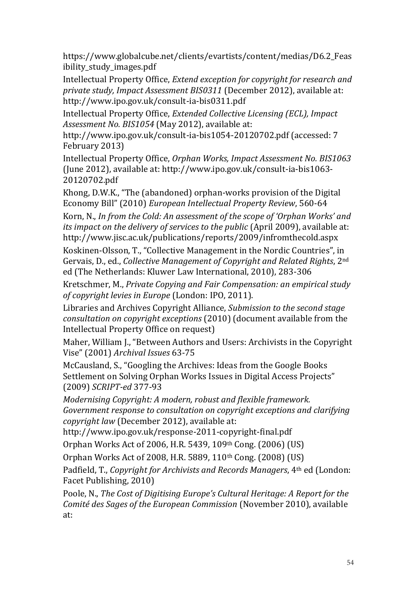https://www.globalcube.net/clients/evartists/content/medias/D6.2\_Feas ibility\_study\_images.pdf

Intellectual Property Office, *Extend exception for copyright for research and private study, Impact Assessment BIS0311* (December 2012), available at: http://www.ipo.gov.uk/consult-ia-bis0311.pdf

Intellectual Property Office, *Extended Collective Licensing (ECL), Impact Assessment No. BIS1054* (May 2012), available at:

http://www.ipo.gov.uk/consult-ia-bis1054-20120702.pdf (accessed: 7 February 2013)

Intellectual Property Office, *Orphan Works, Impact Assessment No. BIS1063* (June 2012), available at: http://www.ipo.gov.uk/consult-ia-bis1063- 20120702.pdf

Khong, D.W.K., "The (abandoned) orphan-works provision of the Digital Economy Bill" (2010) *European Intellectual Property Review*, 560-64 Korn, N., *In from the Cold: An assessment of the scope of 'Orphan Works' and its impact on the delivery of services to the public* (April 2009), available at: http://www.jisc.ac.uk/publications/reports/2009/infromthecold.aspx

Koskinen-Olsson, T., "Collective Management in the Nordic Countries", in Gervais, D., ed., *Collective Management of Copyright and Related Rights*, 2nd ed (The Netherlands: Kluwer Law International, 2010), 283-306

Kretschmer, M., *Private Copying and Fair Compensation: an empirical study of copyright levies in Europe* (London: IPO, 2011).

Libraries and Archives Copyright Alliance, *Submission to the second stage consultation on copyright exceptions* (2010) (document available from the Intellectual Property Office on request)

Maher, William J., "Between Authors and Users: Archivists in the Copyright Vise" (2001) *Archival Issues* 63-75

McCausland, S., "Googling the Archives: Ideas from the Google Books Settlement on Solving Orphan Works Issues in Digital Access Projects" (2009) *SCRIPT-ed* 377-93

*Modernising Copyright: A modern, robust and flexible framework. Government response to consultation on copyright exceptions and clarifying copyright law* (December 2012), available at:

http://www.ipo.gov.uk/response-2011-copyright-final.pdf

Orphan Works Act of 2006, H.R. 5439, 109th Cong. (2006) (US)

Orphan Works Act of 2008, H.R. 5889, 110th Cong. (2008) (US)

Padfield, T., *Copyright for Archivists and Records Managers*, 4th ed (London: Facet Publishing, 2010)

Poole, N., *The Cost of Digitising Europe's Cultural Heritage: A Report for the Comité des Sages of the European Commission* (November 2010), available at: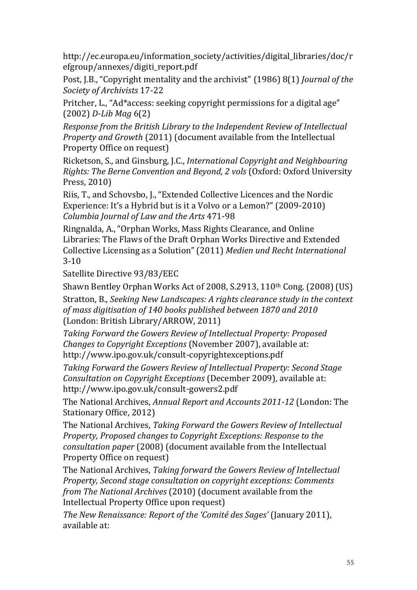http://ec.europa.eu/information\_society/activities/digital\_libraries/doc/r efgroup/annexes/digiti\_report.pdf

Post, J.B., "Copyright mentality and the archivist" (1986) 8(1) *Journal of the Society of Archivists* 17-22

Pritcher, L., "Ad\*access: seeking copyright permissions for a digital age" (2002) *D-Lib Mag* 6(2)

*Response from the British Library to the Independent Review of Intellectual Property and Growth* (2011) (document available from the Intellectual Property Office on request)

Ricketson, S., and Ginsburg, J.C., *International Copyright and Neighbouring Rights: The Berne Convention and Beyond, 2 vols* (Oxford: Oxford University Press, 2010)

Riis, T., and Schovsbo, J., "Extended Collective Licences and the Nordic Experience: It's a Hybrid but is it a Volvo or a Lemon?" (2009-2010) *Columbia Journal of Law and the Arts* 471-98

Ringnalda, A., "Orphan Works, Mass Rights Clearance, and Online Libraries: The Flaws of the Draft Orphan Works Directive and Extended Collective Licensing as a Solution" (2011) *Medien und Recht International* 3-10

Satellite Directive 93/83/EEC

Shawn Bentley Orphan Works Act of 2008, S.2913, 110th Cong. (2008) (US)

Stratton, B., *Seeking New Landscapes: A rights clearance study in the context of mass digitisation of 140 books published between 1870 and 2010* (London: British Library/ARROW, 2011)

*Taking Forward the Gowers Review of Intellectual Property: Proposed Changes to Copyright Exceptions* (November 2007), available at: http://www.ipo.gov.uk/consult-copyrightexceptions.pdf

*Taking Forward the Gowers Review of Intellectual Property: Second Stage Consultation on Copyright Exceptions* (December 2009), available at: http://www.ipo.gov.uk/consult-gowers2.pdf

The National Archives, *Annual Report and Accounts 2011-12* (London: The Stationary Office, 2012)

The National Archives, *Taking Forward the Gowers Review of Intellectual Property, Proposed changes to Copyright Exceptions: Response to the consultation paper* (2008) (document available from the Intellectual Property Office on request)

The National Archives, *Taking forward the Gowers Review of Intellectual Property, Second stage consultation on copyright exceptions: Comments from The National Archives* (2010) (document available from the Intellectual Property Office upon request)

*The New Renaissance: Report of the 'Comité des Sages'* (January 2011), available at: